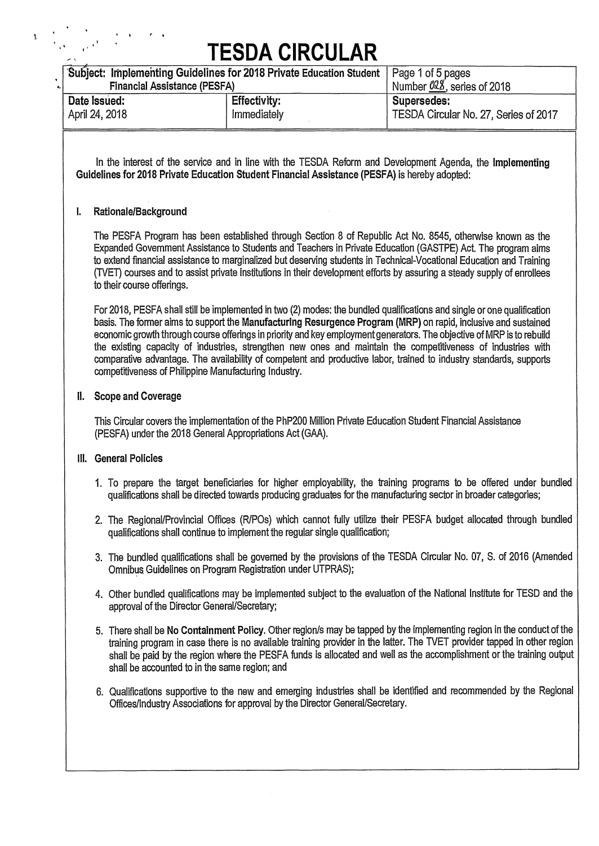|      | <b>Financial Assistance (PESFA)</b>                                           | Subject: Implementing Guidelines for 2018 Private Education Student                           | Page 1 of 5 pages<br>Number 028, series of 2018                                                                                                                                                                                                                                                                                                                                                                                                                                                                                                                                                           |
|------|-------------------------------------------------------------------------------|-----------------------------------------------------------------------------------------------|-----------------------------------------------------------------------------------------------------------------------------------------------------------------------------------------------------------------------------------------------------------------------------------------------------------------------------------------------------------------------------------------------------------------------------------------------------------------------------------------------------------------------------------------------------------------------------------------------------------|
|      | Date Issued:<br>April 24, 2018                                                | <b>Effectivity:</b><br>Immediately                                                            | Supersedes:<br>TESDA Circular No. 27, Series of 2017                                                                                                                                                                                                                                                                                                                                                                                                                                                                                                                                                      |
|      |                                                                               | Guidelines for 2018 Private Education Student Financial Assistance (PESFA) is hereby adopted: | In the interest of the service and in line with the TESDA Reform and Development Agenda, the Implementing                                                                                                                                                                                                                                                                                                                                                                                                                                                                                                 |
| I.   | Rationale/Background                                                          |                                                                                               |                                                                                                                                                                                                                                                                                                                                                                                                                                                                                                                                                                                                           |
|      | to their course offerings.                                                    |                                                                                               | The PESFA Program has been established through Section 8 of Republic Act No. 8545, otherwise known as the<br>Expanded Government Assistance to Students and Teachers in Private Education (GASTPE) Act. The program aims<br>to extend financial assistance to marginalized but deserving students in Technical-Vocational Education and Training<br>(TVET) courses and to assist private institutions in their development efforts by assuring a steady supply of enrollees                                                                                                                               |
|      |                                                                               | competitiveness of Philippine Manufacturing Industry.                                         | For 2018, PESFA shall still be implemented in two (2) modes: the bundled qualifications and single or one qualification<br>basis. The former aims to support the Manufacturing Resurgence Program (MRP) on rapid, inclusive and sustained<br>economic growth through course offerings in priority and key employment generators. The objective of MRP is to rebuild<br>the existing capacity of industries, strengthen new ones and maintain the competitiveness of industries with<br>comparative advantage. The availability of competent and productive labor, trained to industry standards, supports |
| Ш.   | <b>Scope and Coverage</b>                                                     |                                                                                               |                                                                                                                                                                                                                                                                                                                                                                                                                                                                                                                                                                                                           |
|      |                                                                               | (PESFA) under the 2018 General Appropriations Act (GAA).                                      | This Circular covers the implementation of the PhP200 Million Private Education Student Financial Assistance                                                                                                                                                                                                                                                                                                                                                                                                                                                                                              |
| III. | <b>General Policies</b>                                                       |                                                                                               |                                                                                                                                                                                                                                                                                                                                                                                                                                                                                                                                                                                                           |
|      |                                                                               |                                                                                               | 1. To prepare the target beneficiaries for higher employability, the training programs to be offered under bundled<br>qualifications shall be directed towards producing graduates for the manufacturing sector in broader categories;                                                                                                                                                                                                                                                                                                                                                                    |
|      |                                                                               | qualifications shall continue to implement the regular single qualification;                  | 2. The Regional/Provincial Offices (R/POs) which cannot fully utilize their PESFA budget allocated through bundled                                                                                                                                                                                                                                                                                                                                                                                                                                                                                        |
|      |                                                                               | Omnibus Guidelines on Program Registration under UTPRAS);                                     | 3. The bundled qualifications shall be governed by the provisions of the TESDA Circular No. 07, S. of 2016 (Amended                                                                                                                                                                                                                                                                                                                                                                                                                                                                                       |
|      | approval of the Director General/Secretary;                                   |                                                                                               | 4. Other bundled qualifications may be implemented subject to the evaluation of the National Institute for TESD and the                                                                                                                                                                                                                                                                                                                                                                                                                                                                                   |
|      |                                                                               | shall be accounted to in the same region; and                                                 | 5. There shall be No Containment Policy. Other region/s may be tapped by the implementing region in the conduct of the<br>training program in case there is no available training provider in the latter. The TVET provider tapped in other region<br>shall be paid by the region where the PESFA funds is allocated and well as the accomplishment or the training output                                                                                                                                                                                                                                |
|      | Offices/Industry Associations for approval by the Director General/Secretary. |                                                                                               | 6. Qualifications supportive to the new and emerging industries shall be identified and recommended by the Regional                                                                                                                                                                                                                                                                                                                                                                                                                                                                                       |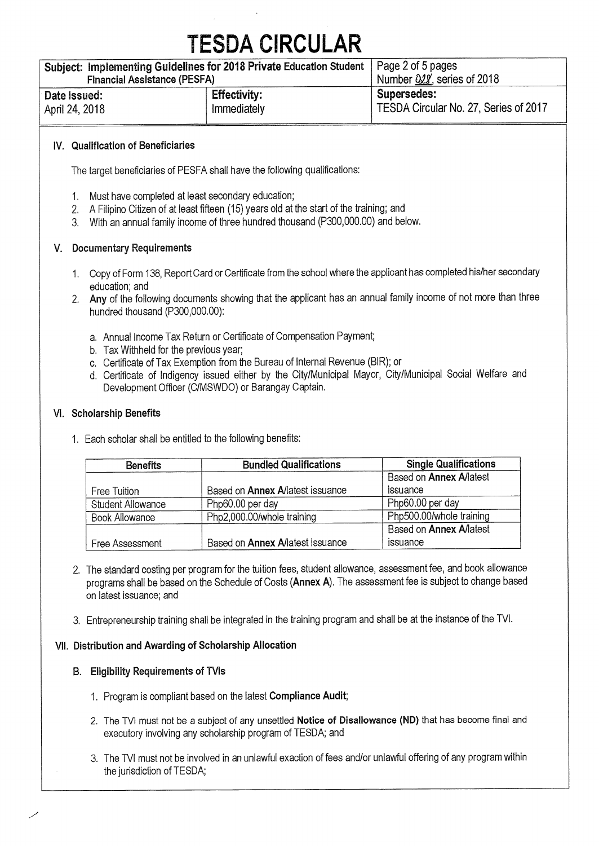| Subject: Implementing Guidelines for 2018 Private Education Student   Page 2 of 5 pages<br><b>Financial Assistance (PESFA)</b> |                     | Number 022, series of 2018            |
|--------------------------------------------------------------------------------------------------------------------------------|---------------------|---------------------------------------|
| Date Issued:                                                                                                                   | <b>Effectivity:</b> | Supersedes:                           |
| April 24, 2018                                                                                                                 | Immediately         | TESDA Circular No. 27, Series of 2017 |

#### **IV. Qualification of Beneficiaries**

The target beneficiaries of PESFA shall have the following qualifications:

- 1. Must have completed at least secondary education;
- 2. A Filipino Citizen of at least fifteen (15) years old at the start of the training; and
- 3. With an annual family income of three hundred thousand (P300,000.00) and below.

### **V. Documentary Requirements**

- 1. Copy of Form 138, Report Card or Certificate from the school where the applicant has completed his/her secondary education; and
- **2. Any** of the following documents showing that the applicant has an annual family income of not more than three hundred thousand (P300,000.00):
	- a. Annual Income Tax Return or Certificate of Compensation Payment;
	- b. Tax Withheld for the previous year;
	- c. Certificate of Tax Exemption from the Bureau of Internal Revenue (BIR); or
	- d. Certificate of Indigency issued either by the City/Municipal Mayor, City/Municipal Social Welfare and Development Officer (C/MSWDO) or Barangay Captain.

### **VI. Scholarship Benefits**

1. Each scholar shall be entitled to the following benefits:

| <b>Benefits</b>          | <b>Bundled Qualifications</b>           | <b>Single Qualifications</b>   |
|--------------------------|-----------------------------------------|--------------------------------|
|                          |                                         | Based on <b>Annex A/latest</b> |
| Free Tuition             | Based on <b>Annex Allatest issuance</b> | issuance                       |
| <b>Student Allowance</b> | Php60.00 per day                        | Php60.00 per day               |
| Book Allowance           | Php2,000.00/whole training              | Php500.00/whole training       |
|                          |                                         | Based on <b>Annex A/latest</b> |
| Free Assessment          | Based on <b>Annex A/latest issuance</b> | issuance                       |

- 2. The standard costing per program for the tuition fees, student allowance, assessment fee, and book allowance programs shall be based on the Schedule of Costs **(Annex A).** The assessment fee is subject to change based on latest issuance; and
- 3. Entrepreneurship training shall be integrated in the training program and shall be at the instance of the WI.

### **VII. Distribution and Awarding of Scholarship Allocation**

### **B. Eligibility Requirements of TVIs**

- 1. Program is compliant based on the latest **Compliance Audit;**
- 2. The WI must not be a subject of any unsettled **Notice of Disallowance (ND)** that has become final and executory involving any scholarship program of TESDA; and
- 3. The WI must not be involved in an unlawful exaction of fees and/or unlawful offering of any program within the jurisdiction of TESDA;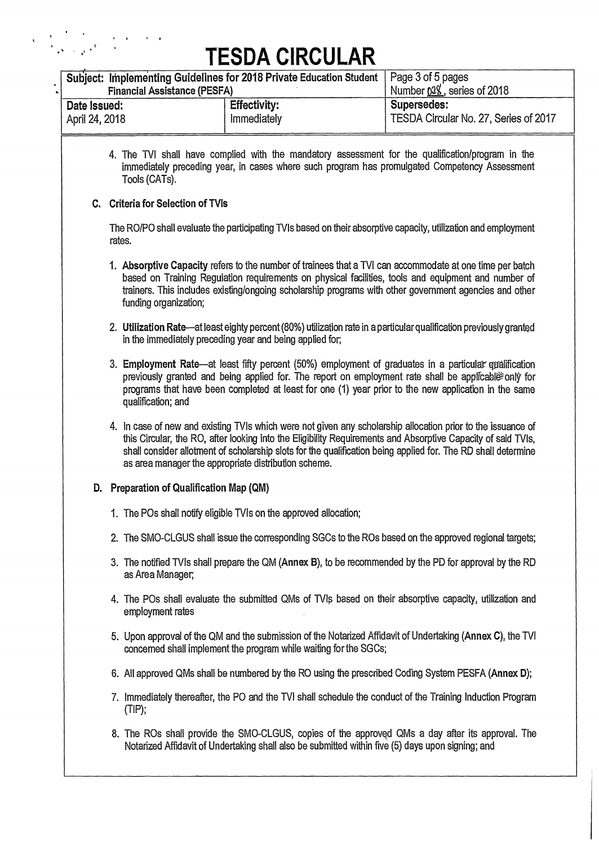$\label{eq:2} \begin{split} \mathbf{v} &= \frac{1}{2} \sum_{\mathbf{q} \in \mathcal{N}} \frac{1}{2} \sum_{\mathbf{q} \in \mathcal{N}} \frac{1}{2} \sum_{\mathbf{q} \in \mathcal{N}} \frac{1}{2} \sum_{\mathbf{q} \in \mathcal{N}} \frac{1}{2} \sum_{\mathbf{q} \in \mathcal{N}} \frac{1}{2} \sum_{\mathbf{q} \in \mathcal{N}} \frac{1}{2} \sum_{\mathbf{q} \in \mathcal{N}} \frac{1}{2} \sum_{\mathbf{q} \in \mathcal{N}} \frac{1}{2} \sum$ 

|                | <b>Financial Assistance (PESFA)</b>      | Subject: Implementing Guidelines for 2018 Private Education Student | Page 3 of 5 pages<br>Number 028, series of 2018                                                                                                                                                                                                                                                                                               |
|----------------|------------------------------------------|---------------------------------------------------------------------|-----------------------------------------------------------------------------------------------------------------------------------------------------------------------------------------------------------------------------------------------------------------------------------------------------------------------------------------------|
| Date Issued:   |                                          | <b>Effectivity:</b>                                                 | Supersedes:                                                                                                                                                                                                                                                                                                                                   |
| April 24, 2018 |                                          | Immediately                                                         | TESDA Circular No. 27, Series of 2017                                                                                                                                                                                                                                                                                                         |
|                | Tools (CATs).                            |                                                                     | 4. The TVI shall have complied with the mandatory assessment for the qualification/program in the<br>immediately preceding year, in cases where such program has promulgated Competency Assessment                                                                                                                                            |
|                | C. Criteria for Selection of TVIs        |                                                                     |                                                                                                                                                                                                                                                                                                                                               |
|                | rates.                                   |                                                                     | The RO/PO shall evaluate the participating TVIs based on their absorptive capacity, utilization and employment                                                                                                                                                                                                                                |
|                | funding organization;                    |                                                                     | 1. Absorptive Capacity refers to the number of trainees that a TVI can accommodate at one time per batch<br>based on Training Regulation requirements on physical facilities, tools and equipment and number of<br>trainers. This includes existing/ongoing scholarship programs with other government agencies and other                     |
|                |                                          | in the immediately preceding year and being applied for;            | 2. Utilization Rate—at least eighty percent (80%) utilization rate in a particular qualification previously granted                                                                                                                                                                                                                           |
|                | qualification; and                       |                                                                     | 3. Employment Rate—at least fifty percent (50%) employment of graduates in a particular qualification<br>previously granted and being applied for. The report on employment rate shall be applicable only for<br>programs that have been completed at least for one (1) year prior to the new application in the same                         |
|                |                                          | as area manager the appropriate distribution scheme.                | 4. In case of new and existing TVIs which were not given any scholarship allocation prior to the issuance of<br>this Circular, the RO, after looking into the Eligibility Requirements and Absorptive Capacity of said TVIs,<br>shall consider allotment of scholarship slots for the qualification being applied for. The RD shall determine |
|                | D. Preparation of Qualification Map (QM) |                                                                     |                                                                                                                                                                                                                                                                                                                                               |
|                |                                          | 1. The POs shall notify eligible TVIs on the approved allocation;   |                                                                                                                                                                                                                                                                                                                                               |
|                |                                          |                                                                     | 2. The SMO-CLGUS shall issue the corresponding SGCs to the ROs based on the approved regional targets;                                                                                                                                                                                                                                        |
|                | as Area Manager;                         |                                                                     | 3. The notified TVIs shall prepare the QM (Annex B), to be recommended by the PD for approval by the RD                                                                                                                                                                                                                                       |
|                | employment rates                         |                                                                     | 4. The POs shall evaluate the submitted QMs of TVIs based on their absorptive capacity, utilization and                                                                                                                                                                                                                                       |
|                |                                          | concerned shall implement the program while waiting for the SGCs;   | 5. Upon approval of the QM and the submission of the Notarized Affidavit of Undertaking (Annex C), the TVI                                                                                                                                                                                                                                    |
|                |                                          |                                                                     | 6. All approved QMs shall be numbered by the RO using the prescribed Coding System PESFA (Annex D);                                                                                                                                                                                                                                           |
|                | $(TIP)$ ;                                |                                                                     | 7. Immediately thereafter, the PO and the TVI shall schedule the conduct of the Training Induction Program                                                                                                                                                                                                                                    |
|                |                                          |                                                                     |                                                                                                                                                                                                                                                                                                                                               |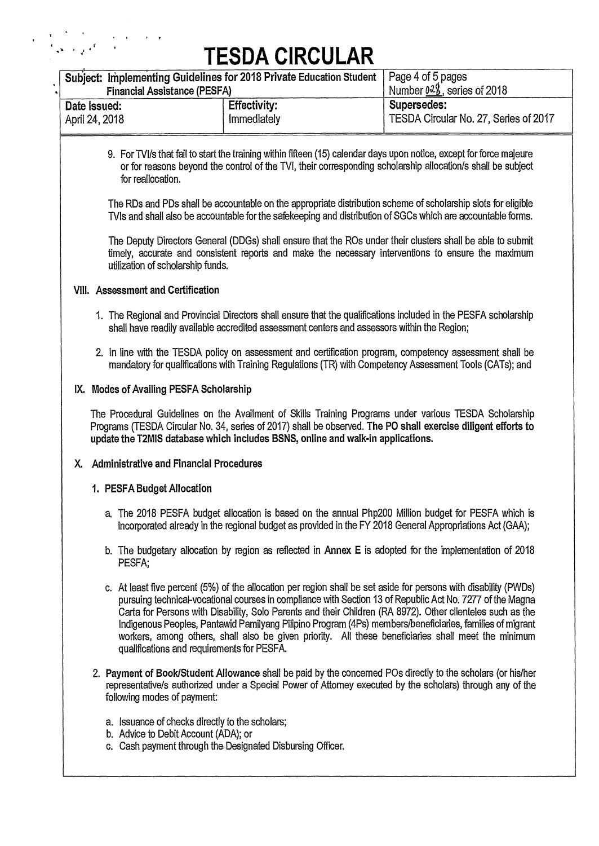$\label{eq:2} \mathcal{F} = \frac{1}{2}\sum_{i=1}^n \frac{1}{2\pi^2}\sum_{j=1}^n \frac{1}{2\pi^2}\sum_{j=1}^n \frac{1}{2\pi^2}\sum_{j=1}^n \frac{1}{2\pi^2}\sum_{j=1}^n \frac{1}{2\pi^2}\sum_{j=1}^n \frac{1}{2\pi^2}\sum_{j=1}^n \frac{1}{2\pi^2}\sum_{j=1}^n \frac{1}{2\pi^2}\sum_{j=1}^n \frac{1}{2\pi^2}\sum_{j=1}^n \frac{1}{2\pi^2}\sum_{j=1}^n \$ 

| Subject: Implementing Guidelines for 2018 Private Education Student<br><b>Financial Assistance (PESFA)</b> |                                                                                                                                                                                                                                                                                                                                                                                                                                                                                                                                                                | Page 4 of 5 pages<br>Number 028, series of 2018 |
|------------------------------------------------------------------------------------------------------------|----------------------------------------------------------------------------------------------------------------------------------------------------------------------------------------------------------------------------------------------------------------------------------------------------------------------------------------------------------------------------------------------------------------------------------------------------------------------------------------------------------------------------------------------------------------|-------------------------------------------------|
| Date Issued:                                                                                               | <b>Effectivity:</b>                                                                                                                                                                                                                                                                                                                                                                                                                                                                                                                                            | Supersedes:                                     |
| April 24, 2018                                                                                             | Immediately                                                                                                                                                                                                                                                                                                                                                                                                                                                                                                                                                    | TESDA Circular No. 27, Series of 2017           |
|                                                                                                            |                                                                                                                                                                                                                                                                                                                                                                                                                                                                                                                                                                |                                                 |
| for reallocation.                                                                                          | 9. For TVI/s that fail to start the training within fifteen (15) calendar days upon notice, except for force majeure<br>or for reasons beyond the control of the TVI, their corresponding scholarship allocation/s shall be subject                                                                                                                                                                                                                                                                                                                            |                                                 |
|                                                                                                            | The RDs and PDs shall be accountable on the appropriate distribution scheme of scholarship slots for eligible<br>TVIs and shall also be accountable for the safekeeping and distribution of SGCs which are accountable forms.                                                                                                                                                                                                                                                                                                                                  |                                                 |
| utilization of scholarship funds.                                                                          | The Deputy Directors General (DDGs) shall ensure that the ROs under their clusters shall be able to submit<br>timely, accurate and consistent reports and make the necessary interventions to ensure the maximum                                                                                                                                                                                                                                                                                                                                               |                                                 |
| VIII. Assessment and Certification                                                                         |                                                                                                                                                                                                                                                                                                                                                                                                                                                                                                                                                                |                                                 |
|                                                                                                            | 1. The Regional and Provincial Directors shall ensure that the qualifications included in the PESFA scholarship<br>shall have readily available accredited assessment centers and assessors within the Region;                                                                                                                                                                                                                                                                                                                                                 |                                                 |
|                                                                                                            | 2. In line with the TESDA policy on assessment and certification program, competency assessment shall be<br>mandatory for qualifications with Training Regulations (TR) with Competency Assessment Tools (CATs); and                                                                                                                                                                                                                                                                                                                                           |                                                 |
| IX. Modes of Availing PESFA Scholarship                                                                    |                                                                                                                                                                                                                                                                                                                                                                                                                                                                                                                                                                |                                                 |
|                                                                                                            | The Procedural Guidelines on the Availment of Skills Training Programs under various TESDA Scholarship<br>Programs (TESDA Circular No. 34, series of 2017) shall be observed. The PO shall exercise diligent efforts to<br>update the T2MIS database which includes BSNS, online and walk-in applications.                                                                                                                                                                                                                                                     |                                                 |
| <b>Administrative and Financial Procedures</b><br>х.                                                       |                                                                                                                                                                                                                                                                                                                                                                                                                                                                                                                                                                |                                                 |
| 1. PESFA Budget Allocation                                                                                 |                                                                                                                                                                                                                                                                                                                                                                                                                                                                                                                                                                |                                                 |
|                                                                                                            | a. The 2018 PESFA budget allocation is based on the annual Php200 Million budget for PESFA which is<br>incorporated already in the regional budget as provided in the FY 2018 General Appropriations Act (GAA);                                                                                                                                                                                                                                                                                                                                                |                                                 |
| PESFA;                                                                                                     | b. The budgetary allocation by region as reflected in Annex E is adopted for the implementation of 2018                                                                                                                                                                                                                                                                                                                                                                                                                                                        |                                                 |
| qualifications and requirements for PESFA.                                                                 | c. At least five percent (5%) of the allocation per region shall be set aside for persons with disability (PWDs)<br>pursuing technical-vocational courses in compliance with Section 13 of Republic Act No. 7277 of the Magna<br>Carta for Persons with Disability, Solo Parents and their Children (RA 8972). Other clienteles such as the<br>Indigenous Peoples, Pantawid Pamilyang Pilipino Program (4Ps) members/beneficiaries, families of migrant<br>workers, among others, shall also be given priority. All these beneficiaries shall meet the minimum |                                                 |
| following modes of payment:                                                                                | 2. Payment of Book/Student Allowance shall be paid by the concerned POs directly to the scholars (or his/her<br>representative/s authorized under a Special Power of Attorney executed by the scholars) through any of the                                                                                                                                                                                                                                                                                                                                     |                                                 |
| a. Issuance of checks directly to the scholars;<br>b. Advice to Debit Account (ADA); or                    | c. Cash payment through the Designated Disbursing Officer.                                                                                                                                                                                                                                                                                                                                                                                                                                                                                                     |                                                 |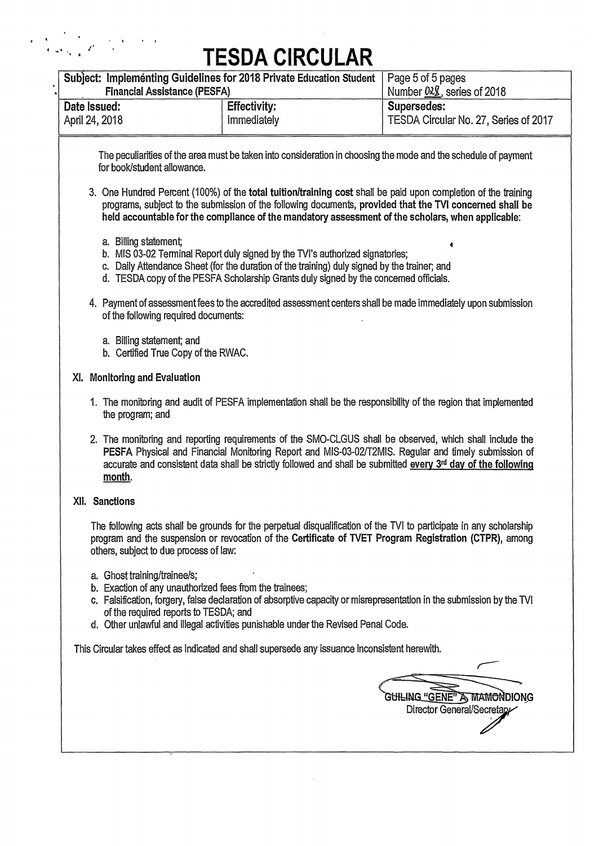$\label{eq:2} \begin{split} \mathcal{L}=\frac{1}{2}\sum_{\mathbf{k}\in\mathcal{K}}\frac{1}{\left|\mathbf{r}_{\mathbf{k}}\right|}\frac{1}{\mathbf{r}_{\mathbf{k}}}\left|\mathbf{r}_{\mathbf{k}}\right|^{2}+\frac{1}{2}\sum_{\mathbf{k}\in\mathcal{K}}\frac{1}{\mathbf{r}_{\mathbf{k}}}\left|\mathbf{r}_{\mathbf{k}}\right|^{2}+\frac{1}{2}\sum_{\mathbf{k}\in\mathcal{K}}\frac{1}{\mathbf{r}_{\mathbf{k}}}\left|\mathbf{r}_{\mathbf{k}}\right|^{2}+\frac{1}{2}\sum_{\mathbf{k$ 

| Subject: Implementing Guidelines for 2018 Private Education Student<br><b>Financial Assistance (PESFA)</b>                       |                                                                                                                                                                                                                                                                                                                                   | Page 5 of 5 pages<br>Number 028, series of 2018                  |
|----------------------------------------------------------------------------------------------------------------------------------|-----------------------------------------------------------------------------------------------------------------------------------------------------------------------------------------------------------------------------------------------------------------------------------------------------------------------------------|------------------------------------------------------------------|
| Date Issued:<br>April 24, 2018                                                                                                   | <b>Effectivity:</b><br>Immediately                                                                                                                                                                                                                                                                                                | Supersedes:<br>TESDA Circular No. 27, Series of 2017             |
| for book/student allowance.                                                                                                      | The peculiarities of the area must be taken into consideration in choosing the mode and the schedule of payment                                                                                                                                                                                                                   |                                                                  |
|                                                                                                                                  | 3. One Hundred Percent (100%) of the total tuition/training cost shall be paid upon completion of the training<br>programs, subject to the submission of the following documents, provided that the TVI concerned shall be<br>held accountable for the compliance of the mandatory assessment of the scholars, when applicable:   |                                                                  |
| a. Billing statement;                                                                                                            | b. MIS 03-02 Terminal Report duly signed by the TVI's authorized signatories;<br>c. Daily Attendance Sheet (for the duration of the training) duly signed by the trainer; and<br>d. TESDA copy of the PESFA Scholarship Grants duly signed by the concerned officials.                                                            |                                                                  |
| of the following required documents:                                                                                             | 4. Payment of assessment fees to the accredited assessment centers shall be made immediately upon submission                                                                                                                                                                                                                      |                                                                  |
| a. Billing statement; and<br>b. Certified True Copy of the RWAC.                                                                 |                                                                                                                                                                                                                                                                                                                                   |                                                                  |
| XI. Monitoring and Evaluation                                                                                                    |                                                                                                                                                                                                                                                                                                                                   |                                                                  |
| the program; and                                                                                                                 | 1. The monitoring and audit of PESFA implementation shall be the responsibility of the region that implemented                                                                                                                                                                                                                    |                                                                  |
| month.                                                                                                                           | 2. The monitoring and reporting requirements of the SMO-CLGUS shall be observed, which shall include the<br>PESFA Physical and Financial Monitoring Report and MIS-03-02/T2MIS. Regular and timely submission of<br>accurate and consistent data shall be strictly followed and shall be submitted every 3rd day of the following |                                                                  |
| XII. Sanctions                                                                                                                   |                                                                                                                                                                                                                                                                                                                                   |                                                                  |
| others, subject to due process of law:                                                                                           | The following acts shall be grounds for the perpetual disqualification of the TVI to participate in any scholarship<br>program and the suspension or revocation of the Certificate of TVET Program Registration (CTPR), among                                                                                                     |                                                                  |
| a. Ghost training/trainee/s;<br>b. Exaction of any unauthorized fees from the trainees;<br>of the required reports to TESDA; and | c. Falsification, forgery, false declaration of absorptive capacity or misrepresentation in the submission by the TVI<br>d. Other unlawful and illegal activities punishable under the Revised Penal Code.                                                                                                                        |                                                                  |
|                                                                                                                                  | This Circular takes effect as indicated and shall supersede any issuance inconsistent herewith.                                                                                                                                                                                                                                   |                                                                  |
|                                                                                                                                  |                                                                                                                                                                                                                                                                                                                                   |                                                                  |
|                                                                                                                                  |                                                                                                                                                                                                                                                                                                                                   | <b>GUILING "GENE" A MAMONDIONG</b><br>Director General/Secretary |
|                                                                                                                                  |                                                                                                                                                                                                                                                                                                                                   |                                                                  |

 $\bar{z}$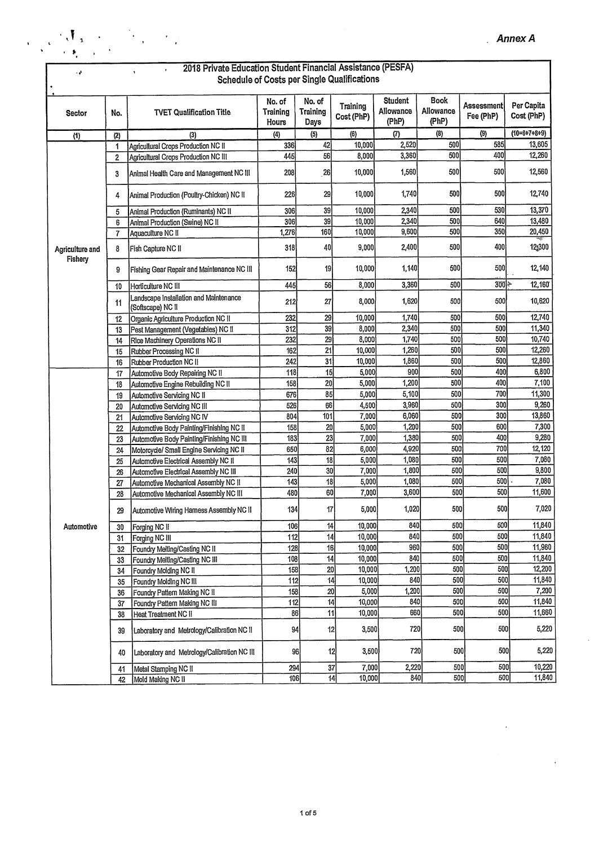| م .                        |                         | 2018 Private Education Student Financial Assistance (PESFA)                   |                             |                                   |                                             |                               |                            |                          |                          |
|----------------------------|-------------------------|-------------------------------------------------------------------------------|-----------------------------|-----------------------------------|---------------------------------------------|-------------------------------|----------------------------|--------------------------|--------------------------|
|                            |                         |                                                                               |                             |                                   | Schedule of Costs per Single Qualifications |                               |                            |                          |                          |
| Sector                     | No.                     | <b>TVET Qualification Title</b>                                               | No. of<br>Training<br>Hours | No. of<br><b>Training</b><br>Days | <b>Training</b><br>Cost (PhP)               | Student<br>Allowance<br>(PhP) | Book<br>Allowance<br>(PhP) | Assessmentl<br>Fee (PhP) | Per Capita<br>Cost (PhP) |
| (1)                        | (2)                     | (3)                                                                           | (4)                         | (5)                               | (6)                                         | (7)                           | $\langle 3 \rangle$        | (9)                      | $(10=6+7+8+9)$           |
|                            | 1                       | Agricultural Crops Production NC II                                           | 336                         | 42                                | 10,000                                      | 2,520                         | 500                        | 585                      | 13,605                   |
|                            | $\mathbf{2}$            | Agricultural Crops Production NC III                                          | 445                         | 56                                | 8,000                                       | 3,360                         | 500                        | 400                      | 12,260                   |
|                            | 3                       | Animal Health Care and Management NC III                                      | 208                         | 26                                | 10,000                                      | 1,560                         | 500                        | 500                      | 12,560                   |
|                            | 4                       | Animal Production (Poultry-Chicken) NC II                                     | 226                         | 29                                | 10,000                                      | 1,740                         | 500                        | 500                      | 12,740                   |
|                            | 5                       | Animal Production (Ruminants) NC II                                           | 306                         | 39                                | 10,000                                      | 2,340                         | 500                        | 530                      | 13,370                   |
|                            | 6                       | Animal Production (Swine) NC II                                               | 306                         | 39                                | 10,000                                      | 2,340                         | 500                        | 640                      | 13,480                   |
|                            | $\overline{\mathbf{r}}$ | Aquaculture NC II                                                             | 1,276                       | 160                               | 10,000                                      | 9,600                         | 500                        | 350                      | 20,450                   |
| Agriculture and<br>Fishery | 8                       | Fish Capture NC II                                                            | 318                         | 40                                | 9,000                                       | 2,400                         | 500                        | 400                      | 12,300                   |
|                            | 9                       | Fishing Gear Repair and Maintenance NC III                                    | 152                         | 19                                | 10,000                                      | 1,140                         | 500                        | 500                      | 12,140                   |
|                            | 10                      | Horticulture NC III                                                           | 445                         | 56                                | 8,000                                       | 3,360                         | 500                        | $300$ $\pm$              | 12,160                   |
|                            | 11                      | Landscape Installation and Maintenance<br>(Softscape) NC II                   | 212                         | 27                                | 8,000                                       | 1,620                         | 500                        | 500                      | 10,620                   |
|                            | 12                      | Organic Agriculture Production NC II                                          | 232                         | 29                                | 10,000                                      | 1,740                         | 500                        | 500                      | 12,740                   |
|                            | 13                      | Pest Management (Vegetables) NC II                                            | 312                         | 39                                | 8,000                                       | 2,340                         | 500                        | 500                      | 11,340                   |
|                            | 14                      | Rice Machinery Operations NC II                                               | 232                         | 29                                | 8,000                                       | 1,740                         | 500                        | 500                      | 10,740                   |
|                            | 15                      | Rubber Processing NC II                                                       | 162                         | 21                                | 10,000                                      | 1,260                         | 500                        | 500                      | 12,260                   |
|                            | 16                      | Rubber Production NC II                                                       | 242                         | 31                                | 10,000                                      | 1,860                         | 500                        | 500                      | 12,860                   |
|                            | 17                      | Automotive Body Repairing NC II                                               | 118                         | 15                                | 5,000                                       | 900                           | 500                        | 400                      | 6,800                    |
|                            | 18                      | Automotive Engine Rebuilding NC II                                            | 158                         | 20                                | 5,000                                       | 1,200                         | 500                        | 400                      | 7,100                    |
|                            | 19                      | Automotive Servicing NC II                                                    | 676                         | 85                                | 5,000                                       | 5,100                         | 500                        | 700                      | 11,300                   |
|                            | 20                      | Automotive Servicing NC III                                                   | 526                         | 66                                | 4,500                                       | 3,960                         | 500                        | 300<br>300               | 9,260                    |
|                            | 21                      | Automotive Servicing NC IV                                                    | 804                         | 101                               | 7,000                                       | 6,060<br>1,200                | 500<br>500                 | 600                      | 13,860<br>7,300          |
|                            | 22                      | Automotive Body Painting/Finishing NC II                                      | 158<br>183                  | 20                                | 5,000                                       |                               | 500                        | 400                      | 9,280                    |
|                            | 23                      | Automotive Body Painting/Finishing NC III                                     | 650                         | 23<br>82                          | 7,000<br>6,000                              | 1,380<br>4,920                | 500                        | 700                      | 12,120                   |
|                            | 24                      | Motorcycle/ Small Engine Servicing NC II                                      | 143                         | 18                                | 5,000                                       | 1,080                         | 500                        | 500                      | 7,080                    |
|                            | 25                      | Automotive Electrical Assembly NC II                                          | 240                         | 30                                | 7,000                                       | 1,800                         | 500                        | 500                      | 9,800                    |
|                            | 26                      | Automotive Electrical Assembly NC III<br>Automotive Mechanical Assembly NC II | 143                         | 18                                | 5,000                                       | 1,080                         | 500                        | 500                      | 7,080                    |
|                            | 27<br>28                | Automotive Mechanical Assembly NC III                                         | 480                         | 60                                | 7,000                                       | 3,600                         | 500                        | 500                      | 11,600                   |
|                            | 29                      | Automotive Wiring Hamess Assembly NC II                                       | 134                         | 17                                | 5,000                                       | 1,020                         | 500                        | 500                      | 7,020                    |
| Automotive                 | 30                      | Forging NC II                                                                 | 106                         | $\overline{14}$                   | 10,000                                      | 840                           | 500                        | 500                      | 11,840                   |
|                            | 31                      | Forging NC III                                                                | 112                         | 14                                | 10,000                                      | 840                           | 500                        | 500                      | 11,840                   |
|                            | 32                      | Foundry Melting/Casting NC II                                                 | 128                         | 16                                | 10,000                                      | 960                           | 500                        | 500                      | 11,960                   |
|                            | 33                      | Foundry Melting/Casting NC III                                                | 108                         | 14                                | 10,000                                      | 840                           | 500                        | 500                      | 11,840                   |
|                            | 34                      | Foundry Molding NC II                                                         | 158                         | 20                                | 10,000                                      | 1,200                         | 500                        | 500                      | 12,200                   |
|                            | 35                      | Foundry Molding NC III                                                        | 112                         | 14                                | 10,000                                      | 840                           | 500                        | 500                      | 11,840                   |
|                            | 36                      | Foundry Pattern Making NC II                                                  | 158                         | 20                                | 5,000                                       | 1,200                         | 500                        | 500                      | 7,200                    |
|                            | 37                      | Foundry Pattern Making NC III                                                 | 112                         | $\overline{14}$                   | 10,000                                      | 840                           | 500                        | 500                      | 11,840                   |
|                            | 38                      | Heat Treatment NC II                                                          | 86                          | 11                                | 10,000                                      | 660                           | 500                        | 500                      | 11,660                   |
|                            | 39                      | Laboratory and Metrology/Calibration NC II                                    | 94                          | 12                                | 3,500                                       | 720                           | 500                        | 500                      | 5,220                    |
|                            | 40                      | Laboratory and Metrology/Calibration NC III                                   | 96                          | 12                                | 3,500                                       | 720                           | 500                        | 500                      | 5,220                    |
|                            | 41                      | Metal Stamping NC II                                                          | 294                         | 37                                | 7,000                                       | 2,220                         | 500                        | 500                      | 10,220                   |
|                            | 42                      | Mold Making NC II                                                             | 106                         |                                   | 44 <br>10,000                               | 840                           | 500                        | 500                      | 11,840                   |

 $\label{eq:2} \frac{1}{2}\sum_{\mathbf{k}}\left(\frac{\partial\mathbf{A}_{\mathbf{k}}}{\partial\mathbf{A}_{\mathbf{k}}}\right)^2\left(\frac{\partial\mathbf{A}_{\mathbf{k}}}{\partial\mathbf{A}_{\mathbf{k}}}\right)^2\left(\frac{\partial\mathbf{A}_{\mathbf{k}}}{\partial\mathbf{A}_{\mathbf{k}}}\right)^2\left(\frac{\partial\mathbf{A}_{\mathbf{k}}}{\partial\mathbf{A}_{\mathbf{k}}}\right)^2\left(\frac{\partial\mathbf{A}_{\mathbf{k}}}{\partial\mathbf{A}_{\mathbf{k}}}\right)^2\left(\frac{\partial\mathbf{A}_{\mathbf{k}}}{\partial\mathbf{$ 

 $\mathbf{r}$ 

 $\hat{\mathcal{A}}$ 

 $\ddot{\phantom{0}}$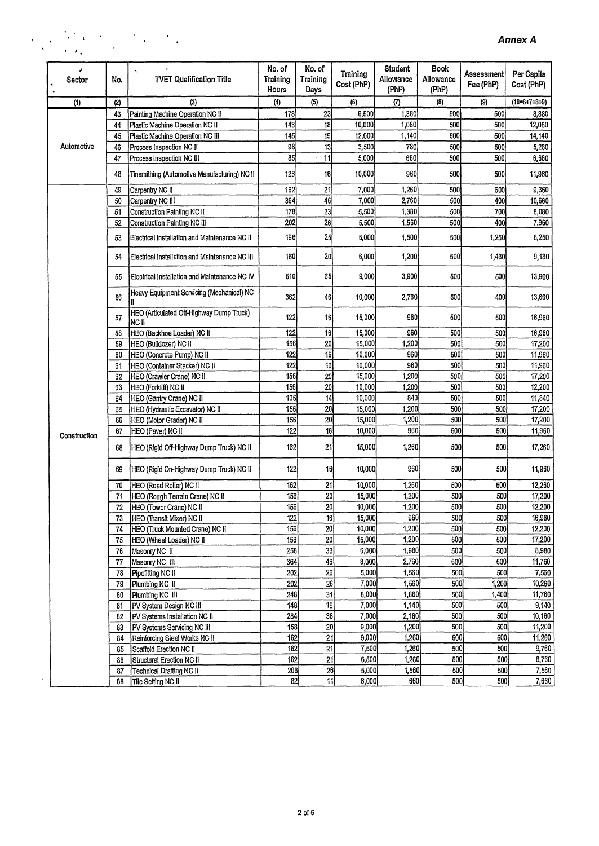### $\frac{1}{\sqrt{2}}\sum_{i=1}^{n}\frac{1}{\sqrt{2}}\sum_{k=1}^{n}\frac{1}{\sqrt{2}}\sum_{i=1}^{n}\frac{1}{\sqrt{2}}\sum_{i=1}^{n}\frac{1}{\sqrt{2}}\sum_{i=1}^{n}\frac{1}{\sqrt{2}}\sum_{i=1}^{n}\frac{1}{\sqrt{2}}\sum_{i=1}^{n}\frac{1}{\sqrt{2}}\sum_{i=1}^{n}\frac{1}{\sqrt{2}}\sum_{i=1}^{n}\frac{1}{\sqrt{2}}\sum_{i=1}^{n}\frac{1}{\sqrt{2}}\sum_{i=1}^{n}\frac{1}{\sqrt{2}}\$  $\hat{\mathbf{r}}$

| ۰<br>Sector  | No.             | ٠<br><b>TVET Qualification Title</b>              | No. of<br>Training<br>Hours | No. of<br><b>Training</b><br>Days | <b>Training</b><br>Cost (PhP) | <b>Student</b><br>Allowance<br>(PhP) | <b>Book</b><br>Allowance<br>(PhP) | Assessment <br>Fee (PhP) | Per Capita<br>Cost (PhP) |
|--------------|-----------------|---------------------------------------------------|-----------------------------|-----------------------------------|-------------------------------|--------------------------------------|-----------------------------------|--------------------------|--------------------------|
| (1)          | (2)             | (3)                                               | (4)                         | (5)                               | (6)                           | (7)                                  | (8)                               | (9)                      | $(10=6+7+8+9)$           |
|              | 43              | Painting Machine Operation NC II                  | 178                         | 23                                | 6,500                         | 1,380                                | 500                               | 500                      | 8,880                    |
|              | 44              | Plastic Machine Operation NC II                   | 143                         | 18                                | 10,000                        | 1,080                                | 500                               | 500                      | 12,080                   |
|              | 45              | Plastic Machine Operation NC III                  | 145                         | 19                                | 12,000                        | 1,140                                | 500                               | 500                      | 14,140                   |
| Automotive   | 46              | Process Inspection NC II                          | 98                          | 13                                | 3,500                         | 780                                  | 500                               | 500                      | 5,280                    |
|              | 47              | Process Inspection NC III                         | 85                          | 11                                | 5,000                         | 660                                  | 500                               | 500                      | 6,660                    |
|              | 48              | Tinsmithing (Automotive Manufacturing) NC II      | 126                         | 16                                | 10,000                        | 960                                  | 500                               | 500                      | 11,960                   |
|              | 49              | Carpentry NC II                                   | 162                         | 21                                | 7,000                         | 1,260                                | 500                               | 600                      | 9,360                    |
|              | 50              | Carpentry NC III                                  | 364                         | 46                                | 7,000                         | 2,760                                | 500                               | 400                      | 10,660                   |
|              | 51              | Construction Painting NC II                       | 178                         | 23                                | 5,500                         | 1,380                                | 500                               | 700                      | 8,080                    |
|              | 52              | Construction Painting NC III                      | 202                         | 26                                | 5,500                         | 1,560                                | 500                               | 400                      | 7,960                    |
|              | 53              | Electrical Installation and Maintenance NC II     | 196                         | 25                                | 5,000                         | 1,500                                | 500                               | 1,250                    | 8,250                    |
|              | 54              | Electrical Installation and Maintenance NC III    | 160                         | 20                                | 6,000                         | 1,200                                | 500                               | 1,430                    | 9,130                    |
|              | 55              | Electrical Installation and Maintenance NC IV     | 516                         | 65                                | 9,000                         | 3,900                                | 500                               | 500                      | 13,900                   |
|              | 56              | Heavy Equipment Servicing (Mechanical) NC         | 362                         | 46                                | 10,000                        | 2,760                                | 500                               | 400                      | 13,660                   |
|              | 57              | HEO (Articulated Off-Highway Dump Truck)<br>NC II | 122                         | 16                                | 15,000                        | 9601                                 | 500                               | 500                      | 16,960                   |
|              | 58              | HEO (Backhoe Loader) NC II                        | 122                         | 16                                | 15,000                        | 960                                  | 500                               | 500                      | 16,960                   |
|              | 59              | HEO (Buildozer) NC II                             | 156                         | 20                                | 15,000                        | 1,200                                | 500                               | 500                      | 17,200                   |
|              | 60              | HEO (Concrete Pump) NC II                         | 122                         | 16                                | 10,000                        | 960                                  | 500                               | 500                      | 11,960                   |
|              | 61              | HEO (Container Stacker) NC II                     | 122                         | 16                                | 10,000                        | 960                                  | 500                               | 500                      | 11,960                   |
|              | 62              | HEO (Crawler Crane) NC II                         | 156                         | 20                                | 15,000                        | 1,200                                | 500                               | 500                      | 17,200                   |
|              | 63              | HEO (Forklift) NC II                              | 156                         | 20                                | 10,000                        | 1,200                                | 500                               | 500                      | 12,200                   |
|              | 64              | HEO (Gantry Crane) NC II                          | 106                         | 14                                | 10,000                        | 840                                  | 500                               | 500                      | 11,840                   |
|              | 65              | HEO (Hydraulic Excavator) NC II                   | 156                         | 20                                | 15,000                        | 1,200                                | 500                               | 500                      | 17,200                   |
|              | 66              | HEO (Motor Grader) NC II                          | 156                         | 20                                | 15,000                        | 1,200                                | 500                               | 500                      | 17,200                   |
| Construction | 67              | HEO (Paver) NC II                                 | 122                         | 16                                | 10,000                        | 960                                  | 500                               | 500                      | 11,960                   |
|              | 68              | HEO (Rigid Off-Highway Dump Truck) NC II          | 162                         | 21                                | 15,000                        | 1,260                                | 500                               | 500                      | 17,260                   |
|              | 69              | HEO (Rigid On-Highway Dump Truck) NC II           | 122                         | 16                                | 10,000                        | 960                                  | 500                               | 500                      | 11,960                   |
|              | 70              | HEO (Road Roller) NC II                           | 162                         | 21                                | 10,000                        | 1,260                                | 500                               | 500                      | 12,260                   |
|              | 71              | HEO (Rough Terrain Crane) NC II                   | 156                         | 20                                | 15,000                        | 1,200                                | 500                               | 500                      | 17,200                   |
|              | 72              | HEO (Tower Crane) NC II                           | 156                         | 20                                | 10,000                        | 1,200                                | 500                               | 500                      | 12,200                   |
|              | 73              | HEO (Transit Mixer) NC II                         | 1221                        | 16                                | 15,000                        | 960                                  | 500                               | 500                      | 16,960                   |
|              | 74              | HEO (Truck Mounted Crane) NC II                   | 156                         | 20                                | 10,000                        | 1,200                                | 500                               | 500                      | 12,200                   |
|              | 75              | HEO (Wheel Loader) NC II                          | 156                         | 20                                | 15,000                        | 1,200                                | 500                               | 500                      | 17,200                   |
|              | 76              | Masonry NC II                                     | 258                         | 33                                | 6,000                         | 1,980                                | 500                               | 500                      | 8,980                    |
|              | 77              | Masonry NC III                                    | 364                         | 46                                | 8,000                         | 2,760                                | 500                               | 500                      | 11,760                   |
|              | 78              | Pipefitting NC II                                 | 202                         | 26                                | 5,000                         | 1,560                                | 500                               | 500                      | 7,560                    |
|              | 79              | Plumbing NC II                                    | 202                         | 26                                | 7,000                         | 1,560                                | 500                               | 1,200                    | 10,260                   |
|              | 80              | Plumbing NC III                                   | 248                         | 31                                | 8,000                         | 1,860                                | 500                               | 1,400                    | 11,760                   |
|              | $\overline{81}$ | PV System Design NC III                           | 148                         | 19                                | 7,000                         | 1,140                                | 500                               | 500                      | 9,140                    |
|              | 82              | PV Systems Installation NC II                     | 284                         | 36                                | 7,000                         | 2,160                                | 500                               | 500                      | 10,160                   |
|              | 83              | PV Systems Servicing NC III                       | 158                         | 20                                | 9,000                         | 1,200                                | 500                               | 500                      | 11,200                   |
|              | 84              | Reinforcing Steel Works NC II                     | 162                         | 21                                | 9,000                         | 1,260                                | 500                               | 500                      | 11,260                   |
|              | 85              | Scaffold Erection NC II                           | 162                         | 21                                | 7,500                         | 1,260                                | 500                               | 500                      | 9,760                    |
|              | 86              | Structural Erection NC II                         | 162                         | 21                                | 6,500                         | 1,260                                | 500                               | 500                      | 8,760                    |
|              | 87              | <b>Technical Drafting NC II</b>                   | 206<br>82                   | 26<br>11                          | 5,000<br>6,000                | 1,560<br>660                         | 500<br>500                        | 500<br>500               | 7,560<br>7,660           |
|              | 88              | Tile Setting NC II                                |                             |                                   |                               |                                      |                                   |                          |                          |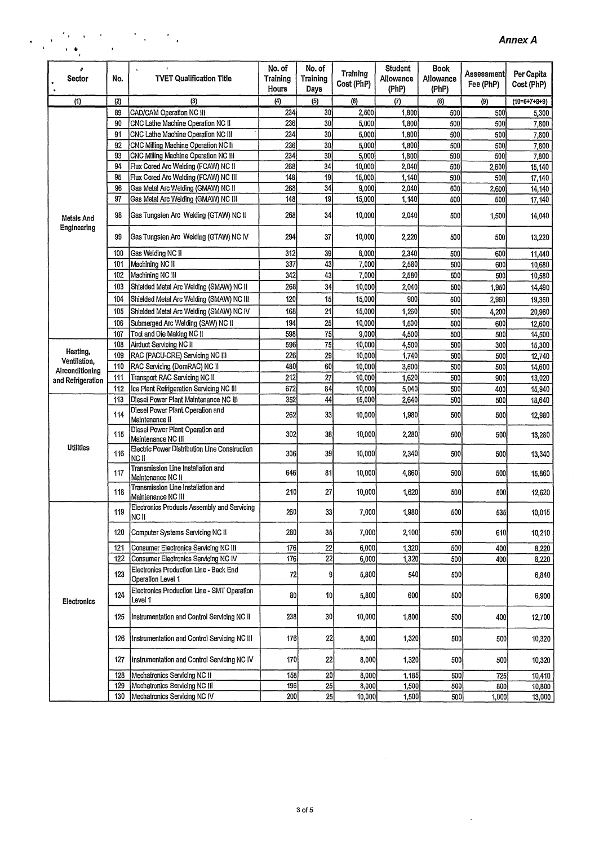|  |                                                                                                                                                                                                                                      |                          | $\frac{1}{2}$ and $\frac{1}{2}$ . The set of the set of the set of the set of the set of the set of the set of the set of the set of the set of the set of the set of the set of the set of the set of the set of the set of the set |  |
|--|--------------------------------------------------------------------------------------------------------------------------------------------------------------------------------------------------------------------------------------|--------------------------|--------------------------------------------------------------------------------------------------------------------------------------------------------------------------------------------------------------------------------------|--|
|  | <b>Contact Contact Advisory Advisory Advisory Advisory Advisory Advisory Advisory Advisory Advisory Advisory Advisory Advisory Advisory Advisory Advisory Advisory Advisory Advisory Advisory Advisory Advisory Advisory Advisor</b> | <b>Contract Contract</b> |                                                                                                                                                                                                                                      |  |

| Sector                           | No.      | <b>TVET Qualification Title</b>                             | No. of<br>Training<br>Hours | No. of<br>Training<br>Days | Training<br>Cost (PhP) | <b>Student</b><br>Allowance<br>(PhP) | <b>Book</b><br>Allowance<br>(PhP) | Assessment <br>Fee (PhP) | Per Capita<br>Cost (PhP) |
|----------------------------------|----------|-------------------------------------------------------------|-----------------------------|----------------------------|------------------------|--------------------------------------|-----------------------------------|--------------------------|--------------------------|
| (1)                              | (2)      | (3)                                                         | (4)                         | (5)                        | (6)                    | (7)                                  | (8)                               | (9)                      | $(10=6+7+8+9)$           |
|                                  | 89       | CAD/CAM Operation NC III                                    | 234                         | 30                         | 2,500                  | 1,800                                | 500                               | 500                      | 5,300                    |
|                                  | 90       | CNC Lathe Machine Operation NC II                           | 236                         | 30                         | 5,000                  | 1,800                                | 500                               | 500                      | 7,800                    |
|                                  | 91       | CNC Lathe Machine Operation NC III                          | 234                         | 30                         | 5,000                  | 1,800                                | 500                               | 500                      | 7,800                    |
|                                  | 92       | CNC Milling Machine Operation NC II                         | 236                         | 30                         | 5,000                  | 1,800                                | 500                               | 500                      | 7,800                    |
|                                  | 93       | CNC Milling Machine Operation NC III                        | 234                         | 30                         | 5,000                  | 1,800                                | 500                               | 500                      | 7,800                    |
|                                  | 94       | Flux Cored Arc Welding (FCAW) NC II                         | 268                         | 34                         | 10,000                 | 2,040                                | 500                               | 2,600                    | 15,140                   |
|                                  | 95       | Flux Cored Arc Welding (FCAW) NC III                        | 148                         | $\overline{19}$            | 15,000                 | 1,140                                | 500                               | 500                      | 17,140                   |
|                                  | 96<br>97 | Gas Metal Arc Welding (GMAW) NC II                          | 268                         | 34                         | 9,000                  | 2,040                                | 500                               | 2,600                    | 14,140                   |
|                                  |          | Gas Metal Arc Welding (GMAW) NC III                         | 148                         | 19                         | 15,000                 | 1,140                                | 500                               | 500                      | 17,140                   |
| <b>Metals And</b><br>Engineering | 98       | Gas Tungsten Arc Welding (GTAW) NC II                       | 268                         | 34                         | 10,000                 | 2,040                                | 500                               | 1,500                    | 14,040                   |
|                                  | 99       | Gas Tungsten Arc Welding (GTAW) NC IV                       | 294                         | 37                         | 10,000                 | 2,220                                | 500                               | 500                      | 13,220                   |
|                                  | 100      | Gas Welding NC II                                           | 312                         | 39                         | 8,000                  | 2,340                                | 500                               | 600                      | 11,440                   |
|                                  | 101      | Machining NC II                                             | 337                         | 43                         | 7,000                  | 2,580                                | 500                               | 600                      | 10,680                   |
|                                  | 102      | Machining NC III                                            | 342                         | 43                         | 7,000                  | 2,580                                | 500                               | 500                      | 10,580                   |
|                                  | 103      | Shielded Metal Arc Welding (SMAW) NC II                     | 268                         | 34                         | 10,000                 | 2,040                                | 500                               | 1,950                    | 14,490                   |
|                                  | 104      | Shielded Metal Arc Welding (SMAW) NC III                    | 120                         | 15                         | 15,000                 | 900                                  | 500                               | 2,960                    | 19,360                   |
|                                  | 105      | Shielded Metal Arc Welding (SMAW) NC IV                     | 168                         | 21                         | 15,000                 | 1,260                                | 500                               | 4,200                    | 20,960                   |
|                                  | 106      | Submerged Arc Welding (SAW) NC II                           | 194                         | $\overline{25}$            | 10.000                 | 1,500                                | 500                               | 600                      | 12,600                   |
|                                  | 107      | Tool and Die Making NC II                                   | 598                         | 75                         | 9,000                  | 4,500                                | 500                               | 500                      | 14,500                   |
|                                  | 108      | Airduct Servicing NC II                                     | 596                         | 75                         | 10,000                 | 4,500                                | 500                               | 300                      | 15,300                   |
| Heating,<br>Ventilation,         | 109      | RAC (PACU-CRE) Servicing NC III                             | 226                         | 29                         | 10,000                 | 1,740                                | 500                               | 500                      | 12,740                   |
| Airconditioning                  | 110      | RAC Servicing (DomRAC) NC II                                | 480                         | 60                         | 10,000                 | 3,600                                | 500                               | 500                      | 14,600                   |
| and Refrigeration                | 111      | Transport RAC Servicing NC II                               | 212                         | $\overline{27}$            | 10,000                 | 1,620                                | 500                               | 900                      | 13,020                   |
|                                  | 112      | Ice Plant Refrigeration Servicing NC III                    | 672                         | 84                         | 10,000                 | 5,040                                | 500                               | 400                      | 15,940                   |
|                                  | 113      | Diesel Power Plant Maintenance NC III                       | 352                         | 44                         | 15,000                 | 2,640                                | 500                               | 500                      | 18,640                   |
|                                  | 114      | Diesel Power Plant Operation and<br>Maintenance II          | 262                         | 33                         | 10,000                 | 1,980                                | 500                               | 500                      | 12,980                   |
|                                  | 115      | Diesel Power Plant Operation and<br>Maintenance NC III      | 302                         | 38                         | 10,000                 | 2,280                                | 500                               | 500                      | 13,280                   |
| <b>Utilities</b>                 | 116      | Electric Power Distribution Line Construction<br>NC II      | 306                         | 39                         | 10,000                 | 2,340                                | 500                               | 500                      | 13,340                   |
|                                  | 117      | Transmission Line Installation and<br>Maintenance NC II     | 646                         | 81                         | 10,000                 | 4,860                                | 500                               | 500                      | 15,860                   |
|                                  | 118      | Transmission Line Installation and<br>Maintenance NC III    | 210                         | 27                         | 10,000                 | 1,620                                | 500                               | 500                      | 12,620                   |
|                                  | 119      | Electronics Products Assembly and Servicing<br>NC II        | 260                         | 33                         | 7,000                  | 1,980                                | 5001                              | 535                      | 10,015                   |
|                                  | 120      | Computer Systems Servicing NC II                            | 280                         | 35                         | 7,000                  | 2,100                                | 500                               | 610                      | 10,210                   |
|                                  | 121      | <b>Consumer Electronics Servicing NC III</b>                | 176                         | 22                         | 6,000                  | 1,320                                | 500                               | 400                      | 8,220                    |
|                                  | 122      | Consumer Electronics Servicing NC IV                        | 176                         | 22                         | 6,000                  | 1,320                                | 500                               | 400                      | 8,220                    |
|                                  | 123      | Electronics Production Line - Back End<br>Operation Level 1 | 72                          | 9                          | 5,800                  | 540                                  | 500                               |                          | 6,840                    |
| Electronics                      | 124      | Electronics Production Line - SMT Operation<br>Level 1      | 80                          | 10                         | 5,800                  | 600                                  | 500                               |                          | 6,900                    |
|                                  | 125      | Instrumentation and Control Servicing NC II                 | 238                         | 30                         | 10,000                 | 1,800                                | 500                               | 400                      | 12,700                   |
|                                  | 126      | Instrumentation and Control Servicing NC III                | 176                         | 22                         | 8,000                  | 1,320                                | 500                               | 500                      | 10,320                   |
|                                  | 127      | Instrumentation and Control Servicing NC IV                 | 170                         | 22                         | 8,000                  | 1,320                                | 500                               | 500                      | 10,320                   |
|                                  | 128      | Mechatronics Servicing NC II                                | 158                         | 20                         | 8,000                  | 1,185                                | 500                               | 725                      | 10,410                   |
|                                  | 129      | Mechatronics Servicing NC III                               | 196                         | 25                         | 8,000                  | 1,500                                | 500                               | 800                      | 10,800                   |
|                                  | 130      | Mechatronics Servicing NC IV                                | 200                         | 25                         | 10,000                 | 1,500                                | 500                               | 1,000                    | 13,000                   |

 $\mathcal{L}_{\mathcal{A}}$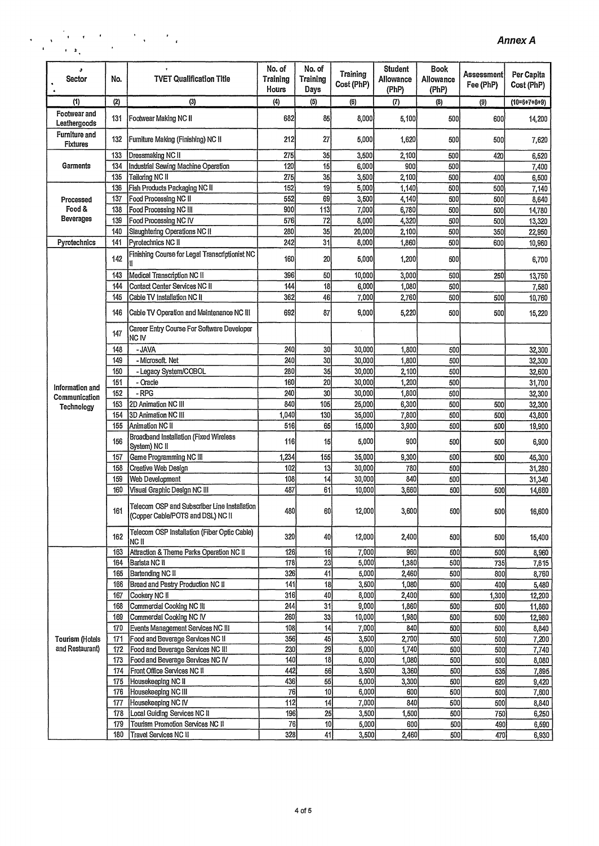$\ddot{\phantom{0}}$ 

| s<br>Sector                         | No.        | <b>TVET Qualification Title</b>                                                   | No. of<br><b>Training</b><br>Hours | No. of<br>Training<br>Days | <b>Training</b><br>Cost (PhP) | Student<br>Allowance<br>(PhP) | <b>Book</b><br>Allowance<br>(PhP) | Assessment<br>Fee (PhP) | Per Capita<br>Cost (PhP) |
|-------------------------------------|------------|-----------------------------------------------------------------------------------|------------------------------------|----------------------------|-------------------------------|-------------------------------|-----------------------------------|-------------------------|--------------------------|
| (1)                                 | (2)        | (3)                                                                               | (4)                                | (5)                        | (6)                           | (7)                           | (3)                               | (9)                     | $(10=6+7+8+9)$           |
| <b>Footwear and</b><br>Leathergoods | 131        | Footwear Making NC II                                                             | 682                                | 85                         | 8,000                         | 5,100                         | 500                               | 600                     | 14,200                   |
| <b>Furniture and</b><br>Fixtures    | 132        | Furniture Making (Finishing) NC II                                                | 212                                | 27                         | 5,000                         | 1,620                         | 500                               | 500                     | 7,620                    |
|                                     | 133        | Dressmaking NC II                                                                 | 275                                | 35                         | 3,500                         | 2,100                         | 500                               | 420                     | 6,520                    |
| Garments                            | 134        | Industrial Sewing Machine Operation                                               | 120                                | 15                         | 6,000                         | 900                           | 500                               |                         | 7,400                    |
|                                     | 135        | Tailoring NC II                                                                   | 275                                | 35                         | 3,500                         | 2,100                         | 500                               | 400                     | 6,500                    |
|                                     | 136<br>137 | Fish Products Packaging NC II                                                     | 152<br>552                         | 19<br>69                   | 5,000                         | 1,140                         | 500                               | 500                     | 7,140                    |
| Processed<br>Food &                 | 138        | Food Processing NC II<br>Food Processing NC III                                   | 900                                | 113                        | 3,500                         | 4,140<br>6,780                | 500<br>500                        | 500                     | 8,640                    |
| Beverages                           | 139        | Food Processing NC IV                                                             | 576                                | 72                         | 7,000<br>8,000                | 4,320                         | 500                               | 500<br>500              | 14,780<br>13,320         |
|                                     | 140        | Slaughtering Operations NC II                                                     | 280                                | 35                         | 20,000                        | 2,100                         | 500                               | 350                     | 22,950                   |
| Pyrotechnics                        | 141        | Pyrotechnics NC II                                                                | 242                                | 31                         | 8,000                         | 1,860                         | 500                               | 600                     | 10,960                   |
|                                     |            | Finishing Course for Legal Transcriptionist NC                                    |                                    |                            |                               |                               |                                   |                         |                          |
|                                     | 142        |                                                                                   | 160                                | 20                         | 5,000                         | 1,200                         | 500                               |                         | 6,700                    |
|                                     | 143        | Medical Transcription NC II                                                       | 396<br>144                         | 50<br>$\overline{18}$      | 10,000                        | 3,000                         | 500                               | 250                     | 13,750                   |
|                                     | 144<br>145 | Contact Center Services NC II<br>Cable TV Installation NC II                      | 362                                | 46                         | 6,000<br>7,000                | 1,080<br>2,760                | 500<br>500                        | 500                     | 7,580<br>10,760          |
|                                     |            |                                                                                   |                                    |                            |                               |                               |                                   |                         |                          |
|                                     | 146        | Cable TV Operation and Maintenance NC III                                         | 692                                | 87                         | 9,000                         | 5,220                         | 500                               | 500                     | 15,220                   |
|                                     | 147        | Career Entry Course For Software Developer<br>NC IV                               |                                    |                            |                               |                               |                                   |                         |                          |
|                                     | 148        | - JAVA                                                                            | 240                                | 30                         | 30,000                        | 1,800                         | 500                               |                         | 32,300                   |
|                                     | 149        | - Microsoft. Net                                                                  | 240                                | $\overline{30}$            | 30,000                        | 1,800                         | 500                               |                         | 32,300                   |
|                                     | 150        | - Legacy System/COBOL                                                             | 280                                | 35                         | 30,000                        | 2,100                         | 500                               |                         | 32,600                   |
| Information and                     | 151        | - Oracle                                                                          | 160                                | 20                         | 30,000                        | 1,200                         | 500                               |                         | 31,700                   |
| Communication                       | 152        | - RPG                                                                             | 240<br>840                         | 30<br>105                  | 30,000                        | 1,800                         | 500                               |                         | 32,300                   |
| Technology                          | 153<br>154 | 2D Animation NC III<br>3D Animation NC III                                        | 1,040                              | 130                        | 25,000<br>35,000              | 6,300<br>7,800                | 500<br>500                        | 500<br>500              | 32,300                   |
|                                     | 155        | Animation NC II                                                                   | 516                                | 65                         | 15,000                        | 3,900                         | 500                               | 500                     | 43,800<br>19,900         |
|                                     | 156        | Broadband Installation (Fixed Wireless                                            | 116                                | 15                         | 5,000                         | 900                           | 500                               | 500                     | 6,900                    |
|                                     |            | System) NC II                                                                     |                                    |                            |                               |                               |                                   |                         |                          |
|                                     | 157        | Game Programming NC III                                                           | 1,234                              | 155                        | 35,000                        | 9,300                         | 500                               | 500                     | 45,300                   |
|                                     | 158        | Creative Web Design                                                               | 102<br>108                         | 13                         | 30,000                        | 780<br>840                    | 500                               |                         | 31,280                   |
|                                     | 159        | Web Development                                                                   | 487                                | $\frac{1}{4}$              | 30,000                        |                               | 500                               |                         | 31,340                   |
|                                     | 160        | Visual Graphic Design NC III                                                      |                                    | 61                         | 10,000                        | 3,660                         | 500                               | 500                     | 14,660                   |
|                                     | 161        | Telecom OSP and Subscriber Line Installation<br>(Copper Cable/POTS and DSL) NC II | 480                                | 60                         | 12,000                        | 3,600                         | 500                               | 500                     | 16,600                   |
|                                     | 162        | Telecom OSP Installation (Fiber Optic Cable)<br>NC II                             | 320                                | 40                         | 12,000                        | 2,400                         | 500                               | 500                     | 15,400                   |
|                                     | 163        | Attraction & Theme Parks Operation NC II                                          | 126                                | 16                         | 7,000                         | 960                           | 500                               | 500                     | 8,960                    |
|                                     | 164        | Barista NC II                                                                     | 178                                | 23                         | 5,000                         | 1,380                         | 500                               | 735                     | 7,615                    |
|                                     | 165        | Bartending NC II                                                                  | 326                                | 41                         | 5,000                         | 2,460                         | 500                               | 800                     | 8,760                    |
|                                     | 166        | Bread and Pastry Production NC II                                                 | 141                                | 18                         | 3,500                         | 1,080                         | 500                               | 400                     | 5,480                    |
|                                     | 167        | Cookery NC II                                                                     | 316                                | 40                         | 8,000                         | 2,400                         | 500                               | 1,300                   | 12,200                   |
|                                     | 168        | Commercial Cooking NC III                                                         | 244                                | 31                         | 9,000                         | 1,860                         | 500                               | 500                     | 11,860                   |
|                                     | 169<br>170 | Commercial Cooking NC IV<br>Events Management Services NC III                     | 260<br>108                         | 33<br>14                   | 10,000<br>7,000               | 1,980<br>840                  | 500<br>500                        | 500<br>500              | 12,980<br>8,840          |
| Tourism (Hotels                     | 171        | Food and Beverage Services NC II                                                  | 356                                | 45                         | 3,500                         | 2,700                         | 500                               | 500                     |                          |
| and Restaurant)                     | 172        | Food and Beverage Services NC III                                                 | 230                                | $\overline{29}$            | 5,000                         | 1,740                         | 500                               | 500                     | 7,200<br>7,740           |
|                                     | 173        | Food and Beverage Services NC IV                                                  | 140                                | 18                         | 6,000                         | 1,080                         | 500                               | 500                     | 8,080                    |
|                                     | 174        | Front Office Services NC II                                                       | 442                                | 56                         | 3,500                         | 3,360                         | 500                               | 535                     | 7,895                    |
|                                     | 175        | Housekeeping NC II                                                                | 436                                | 55                         | 5,000                         | 3,300                         | 500                               | 620                     | 9,420                    |
|                                     | 176        | Housekeeping NC III                                                               | 76                                 | 10 <sup>1</sup>            | 6,000                         | 600                           | 500                               | 500                     | 7,600                    |
|                                     | 177        | Housekeeping NC IV                                                                | 112                                | 14                         | 7,000                         | 840                           | 500                               | 500                     | 8,840                    |
|                                     | 178        | Local Guiding Services NC II                                                      | 196                                | 25                         | 3,500                         | 1,500                         | 500                               | 750                     | 6,250                    |
|                                     | 179        | Tourism Promotion Services NC II                                                  | 76                                 | 10                         | 5,000                         | 600                           | 500                               | 490                     | 6,590                    |
|                                     | 180        | Travel Services NC II                                                             | 328                                | $\overline{41}$            | 3,500                         | 2,460                         | 500                               | 470                     | 6,930                    |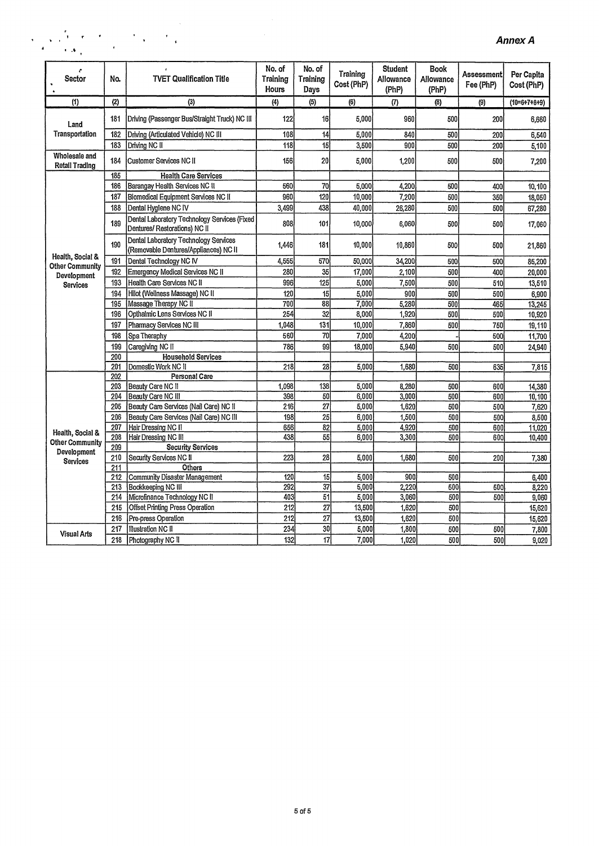| $\sqrt{1-\lambda^2}$<br>$\mathbf{r}$ . A |            | $\mathcal{F}_{\mathcal{A}}$ , $\mathcal{F}_{\mathcal{A}}$                      |                             |                            |                               |                                      |                            |                          | <b>Annex A</b>           |
|------------------------------------------|------------|--------------------------------------------------------------------------------|-----------------------------|----------------------------|-------------------------------|--------------------------------------|----------------------------|--------------------------|--------------------------|
| r<br>Sector                              | No.        | <b>TVET Qualification Title</b>                                                | No. of<br>Training<br>Hours | No. of<br>Training<br>Days | <b>Training</b><br>Cost (PhP) | <b>Student</b><br>Allowance<br>(PhP) | Book<br>Allowance<br>(PhP) | Assessment <br>Fee (PhP) | Per Capita<br>Cost (PhP) |
| (1)                                      | (2)        | (3)                                                                            | (4)                         | (5)                        | (6)                           | $\langle 7 \rangle$                  | (8)                        | (9)                      | $(10=6+7+8+9)$           |
| Land                                     | 181        | Driving (Passenger Bus/Straight Truck) NC III                                  | 122                         | 16                         | 5.000                         | 960                                  | 500                        | 200                      | 6,660                    |
| Transportation                           | 182        | Driving (Articulated Vehicle) NC III                                           | 108                         | 14                         | 5,000                         | 840                                  | 500                        | 200                      | 6,540                    |
|                                          | 183        | Driving NC II                                                                  | 118                         | 15                         | 3,500                         | 900                                  | 500                        | 200                      | 5,100                    |
| Wholesale and<br>Retail Trading          | 184        | <b>Customer Services NC II</b>                                                 | 156                         | 20                         | 5.000                         | 1,200                                | 500                        | 500                      | 7,200                    |
|                                          | 185        | <b>Health Care Services</b>                                                    |                             |                            |                               |                                      |                            |                          |                          |
|                                          | 186        | Barangay Health Services NC II                                                 | 560                         | 70                         | 5.000                         | 4.200                                | 500                        | 400                      | 10,100                   |
|                                          | 187        | Biomedical Equipment Services NC II                                            | 960                         | 120                        | 10,000                        | 7.200                                | 500                        | 350                      | 18,050                   |
|                                          | 188        | Dental Hygiene NC IV                                                           | 3,499                       | 438                        | 40,000                        | 26,280                               | 500                        | 500                      | 67,280                   |
|                                          | 189        | Dental Laboratory Technology Services (Fixed<br>Dentures/ Restorations) NC II  | 808                         | 101                        | 10,000                        | 6,060                                | 500                        | 500                      | 17,060                   |
|                                          | 190        | Dental Laboratory Technology Services<br>(Removable Dentures/Appliances) NC II | 1,446                       | 181                        | 10,000                        | 10,860                               | 500                        | 500                      | 21,860                   |
| Health, Social &                         | 191        | Dental Technology NC IV                                                        | 4,555                       | 570                        | 50.000                        | 34,200                               | 500                        | 500                      | 85,200                   |
| <b>Other Community</b>                   | 192        | <b>Emergency Medical Services NC II</b>                                        | 280                         | 35                         | 17.000                        | 2.100                                | 500                        | 400                      | 20,000                   |
| Development<br>Services                  | 193        | Health Care Services NC II                                                     | 996                         | 125                        | 5,000                         | 7,500                                | 500                        | 510                      | 13,510                   |
|                                          | 194        | Hilot (Wellness Massage) NC II                                                 | 120                         | 15                         | 5.000                         | 900                                  | 500                        | 500                      | 6,900                    |
|                                          | 195        | Massage Therapy NC II                                                          | 700                         | 88                         | 7.000                         | 5,280                                | 500                        | 465                      | 13,245                   |
|                                          | 196        | Opthalmic Lens Services NC II                                                  | 254                         | 32                         | 8,000                         | 1,920                                | 500                        | 500                      | 10,920                   |
|                                          | 197        | Pharmacy Services NC III                                                       | 1,048                       | 131                        | 10,000                        | 7,860                                | 500                        | 750                      | 19.110                   |
|                                          | 198        | Spa Theraphy                                                                   | 560                         | 70                         | 7,000                         | 4,200                                |                            | 500                      | 11.700                   |
|                                          | 199        | Caregiving NC II                                                               | 786                         | 99                         | 18,000                        | 5,940                                | 500                        | 500                      | 24,940                   |
|                                          | 200        | <b>Household Services</b>                                                      |                             |                            |                               |                                      |                            |                          |                          |
|                                          | 201        | Domestic Work NC II                                                            | 218                         | 28                         | 5,000                         | 1,680                                | 500                        | 635                      | 7,815                    |
|                                          | 202        | Personal Care                                                                  |                             |                            |                               |                                      |                            |                          |                          |
|                                          | 203        | Beauty Care NC II                                                              | 1,098                       | 138                        | 5.000                         | 8,280                                | 500                        | 600                      | 14,380                   |
|                                          | 204        | Beauty Care NC III                                                             | 398                         | 50                         | 6,000                         | 3,000                                | 500                        | 600                      | 10.100                   |
|                                          | 205        | Beauty Care Services (Nail Care) NC II                                         | 216                         | 27                         | 5,000                         | 1,620                                | 500                        | 500                      | 7,620                    |
|                                          | 206        | Beauty Care Services (Nail Care) NC III                                        | 198                         | 25                         | 6,000                         | 1,500                                | 500                        | 500                      | 8.500                    |
| Health, Social &                         | 207        | Hair Dressing NC II                                                            | 656                         | 82                         | 5,000                         | 4,920                                | 500                        | 600                      | 11,020                   |
| <b>Other Community</b>                   | 208        | Hair Dressing NC III                                                           | 438                         | 55                         | 6,000                         | 3.300                                | 500                        | 600                      | 10,400                   |
| Development                              | 209        | <b>Security Services</b>                                                       |                             |                            |                               |                                      |                            |                          |                          |
| Services                                 | 210        | Security Services NC II                                                        | 223                         | 28                         | 5,000                         | 1,680                                | 500                        | 200                      | 7,380                    |
|                                          | 211        | Others                                                                         |                             |                            |                               | 900                                  |                            |                          |                          |
|                                          | 212<br>213 | Community Disaster Management<br>Bookkeeping NC III                            | 120<br>292                  | 15<br>$\overline{37}$      | 5,000<br>5,000                | 2,220                                | 500<br>500                 | 500                      | 6,400<br>8,220           |
|                                          | 214        | Microfinance Technology NC II                                                  | 403                         | 51                         | 5,000                         | 3,060                                | 500                        | 500                      | 9,060                    |
|                                          | 215        | <b>Offset Printing Press Operation</b>                                         | 212                         | 27                         | 13,500                        | 1.620                                | 500                        |                          | 15,620                   |
|                                          | 216        | Pre-press Operation                                                            | 212                         | $\overline{27}$            | 13,500                        | 1,620                                | 500                        |                          | 15,620                   |
|                                          | 217        | Illustration NC II                                                             | 234                         | 30                         | 5,000                         | 1,800                                | 500                        | 500                      | 7,800                    |
| <b>Visual Arts</b>                       | 218        | Photography NC II                                                              | 132                         | $\overline{17}$            | 7,000                         | 1,020                                | 500                        | 500                      | 9,020                    |
|                                          |            |                                                                                |                             |                            |                               |                                      |                            |                          |                          |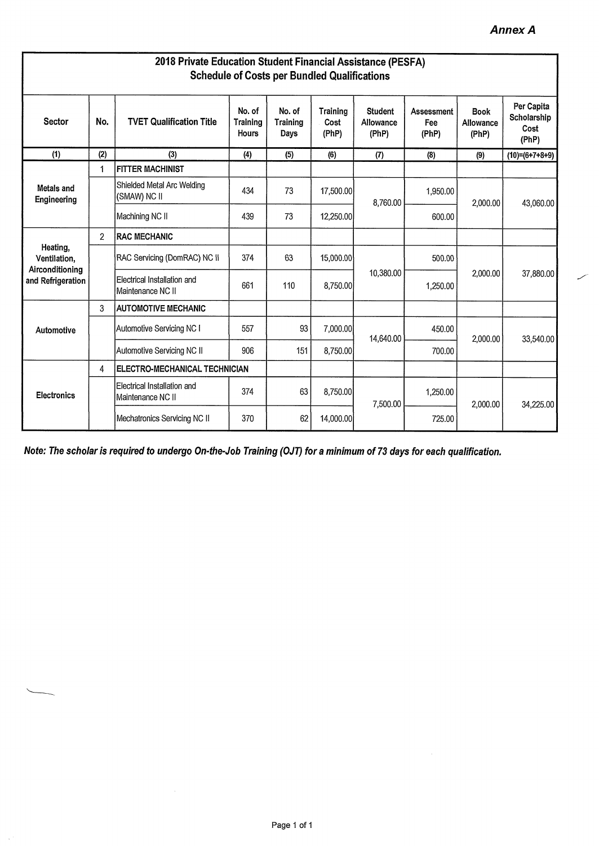| 2018 Private Education Student Financial Assistance (PESFA)<br><b>Schedule of Costs per Bundled Qualifications</b> |                |                                                  |                                    |                                   |                           |                                      |                                   |                                   |                                            |  |
|--------------------------------------------------------------------------------------------------------------------|----------------|--------------------------------------------------|------------------------------------|-----------------------------------|---------------------------|--------------------------------------|-----------------------------------|-----------------------------------|--------------------------------------------|--|
| <b>Sector</b>                                                                                                      | No.            | <b>TVET Qualification Title</b>                  | No. of<br><b>Training</b><br>Hours | No. of<br><b>Training</b><br>Days | Training<br>Cost<br>(PhP) | <b>Student</b><br>Allowance<br>(PhP) | <b>Assessment</b><br>Fee<br>(PhP) | <b>Book</b><br>Allowance<br>(PhP) | Per Capita<br>Scholarship<br>Cost<br>(PhP) |  |
| (1)                                                                                                                | (2)            | (3)                                              | (4)                                | (5)                               | (6)                       | (7)                                  | (8)                               | (9)                               | $(10)=(6+7+8+9)$                           |  |
|                                                                                                                    | 1              | <b>FITTER MACHINIST</b>                          |                                    |                                   |                           |                                      |                                   |                                   |                                            |  |
| Metals and<br>Engineering                                                                                          |                | Shielded Metal Arc Welding<br>(SMAW) NC II       | 434                                | 73                                | 17,500.00                 | 8,760.00                             | 1,950.00                          | 2,000.00                          | 43,060.00                                  |  |
|                                                                                                                    |                | Machining NC II                                  | 439                                | 73                                | 12,250.00                 |                                      | 600.00                            |                                   |                                            |  |
|                                                                                                                    | $\overline{2}$ | <b>RAC MECHANIC</b>                              |                                    |                                   |                           |                                      |                                   |                                   |                                            |  |
| Heating,<br>Ventilation,<br>Airconditioning                                                                        |                | RAC Servicing (DomRAC) NC II                     | 374                                | 63                                | 15,000.00                 |                                      | 500.00                            | 2,000.00                          | 37,880.00                                  |  |
| and Refrigeration                                                                                                  |                | Electrical Installation and<br>Maintenance NC II | 661                                | 110                               | 8.750.00                  | 10,380.00                            | 1,250.00                          |                                   |                                            |  |
|                                                                                                                    | 3              | <b>AUTOMOTIVE MECHANIC</b>                       |                                    |                                   |                           |                                      |                                   |                                   |                                            |  |
| Automotive                                                                                                         |                | Automotive Servicing NC I                        | 557                                | 93                                | 7,000.00                  | 14,640.00                            | 450.00                            | 2,000.00                          | 33,540.00                                  |  |
|                                                                                                                    |                | Automotive Servicing NC II                       | 906                                | 151                               | 8,750.00                  |                                      | 700.00                            |                                   |                                            |  |
|                                                                                                                    | 4              | ELECTRO-MECHANICAL TECHNICIAN                    |                                    |                                   |                           |                                      |                                   |                                   |                                            |  |
| <b>Electronics</b>                                                                                                 |                | Electrical Installation and<br>Maintenance NC II | 374                                | 63                                | 8,750.00                  | 7,500.00                             | 1,250.00                          | 2,000.00                          | 34,225.00                                  |  |
|                                                                                                                    |                | Mechatronics Servicing NC II                     | 370                                | 62                                | 14,000.00                 |                                      | 725.00                            |                                   |                                            |  |

**Note: The scholar is required to undergo On-the-Job Training (OJT) for a minimum of 73 days for each qualification.** 

 $\hat{\mathcal{A}}$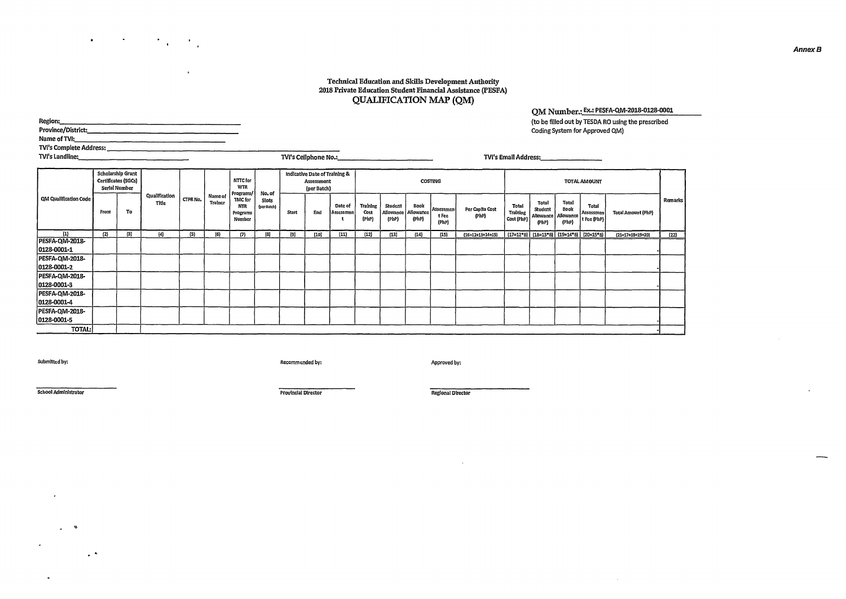#### **Technical Education and Skills Development Authority 2018 Private Education Student Financial Assistance (PESFA) QUALIFICATION MAP (QM)**

**QM Number.: Ex.: PESFA-QM-2018-0128-0001** 

| Region:<br>Name of TVI:                                                                                                                     |                     |                                                           |                        |          |                           |                                                   |                      |       |                                                                   |                      |                           |                               |                            |                             |                          |                                 |                                               |                                     | Coding System for Approved QM)                  | (to be filled out by TESDA RO using the prescribed |         |
|---------------------------------------------------------------------------------------------------------------------------------------------|---------------------|-----------------------------------------------------------|------------------------|----------|---------------------------|---------------------------------------------------|----------------------|-------|-------------------------------------------------------------------|----------------------|---------------------------|-------------------------------|----------------------------|-----------------------------|--------------------------|---------------------------------|-----------------------------------------------|-------------------------------------|-------------------------------------------------|----------------------------------------------------|---------|
|                                                                                                                                             |                     |                                                           |                        |          |                           |                                                   |                      |       |                                                                   |                      |                           |                               |                            |                             |                          |                                 |                                               |                                     |                                                 |                                                    |         |
| <b>TVI's Landline:</b><br>TVI's Cellphone No.:<br>TVI's Email Address: TVI's Email Address:<br>the control of the control of the control of |                     |                                                           |                        |          |                           |                                                   |                      |       |                                                                   |                      |                           |                               |                            |                             |                          |                                 |                                               |                                     |                                                 |                                                    |         |
|                                                                                                                                             |                     | Scholarship Grant<br>Certificates (SGCs)<br>Serial Number |                        |          |                           | NTTC for<br><b>WTR</b>                            | No. of               |       | Indicative Date of Training &<br><b>Assessment</b><br>(per Batch) |                      |                           |                               |                            | <b>COSTING</b>              |                          |                                 |                                               |                                     | <b>TOTAL AMOUNT</b>                             |                                                    |         |
| <b>QM Qualification Code</b>                                                                                                                | From                | To                                                        | Qualification<br>Title | CTPR No. | <b>Name of</b><br>Trainer | Programs/<br>TMC for<br>NTR<br>Programs<br>Number | Slots<br>(per Batch) | Start | End                                                               | Date of<br>Assessmen | Training<br>Cost<br>(PhP) | Student<br>Allowance<br>(PhP) | Book<br>Allowance<br>(PhP) | Assessmen<br>t Fee<br>(PhP) | Per Capita Cost<br>(PhP) | Total<br>Training<br>Cost (PhP) | Total<br>Student<br><b>Allowance</b><br>(PhP) | Total<br>Book<br>Allowance<br>(PhP) | Total<br>Assessmen<br>t Fee (PhP)               | <b>Total Amount (PhP)</b>                          | Remarks |
| (1)                                                                                                                                         | $\left\{ 2\right\}$ | $\left(3\right)$                                          | (4)                    | (5)      | (6)                       | (7)                                               | (8)                  | (9)   | (10)                                                              | (11)                 | (12)                      | (13)                          | (14)                       | (15)                        | $(16=12+13+14+15)$       |                                 |                                               |                                     | $(17=12*8)$ $(18=13*8)$ $(19=14*8)$ $(20=15*8)$ | $(21=17+18+19+20)$                                 | (22)    |
| PESFA-QM-2018-<br>0128-0001-1                                                                                                               |                     |                                                           |                        |          |                           |                                                   |                      |       |                                                                   |                      |                           |                               |                            |                             |                          |                                 |                                               |                                     |                                                 |                                                    |         |
| PESFA-QM-2018-<br>0128-0001-2                                                                                                               |                     |                                                           |                        |          |                           |                                                   |                      |       |                                                                   |                      |                           |                               |                            |                             |                          |                                 |                                               |                                     |                                                 |                                                    |         |
| PESFA-QM-2018-<br>0128-0001-3                                                                                                               |                     |                                                           |                        |          |                           |                                                   |                      |       |                                                                   |                      |                           |                               |                            |                             |                          |                                 |                                               |                                     |                                                 |                                                    |         |

**0128-0001-3 -** 

**0128-0001-5 - TOTAL: -** 

 $\epsilon$ 

 $\mathcal{L}$ 

 $\bullet$ 

 $\omega_{\rm c} = 20$ 

 $\sim$   $\sim$ 

**PESFA-QM-2018- 0128.0001-4 PESFA-QM-2018-** 

 $\label{eq:2} \mathcal{F}(\mathcal{F}) = \mathcal{F}(\mathcal{F}) = \mathcal{F}(\mathcal{F}) = \mathcal{F}(\mathcal{F})$ 

 $\mathbf{r}$ 

**Submitted by: Recommended by: Approved by:** 

**School Administrator Provincial Director Regional Director** 

 $\sim$ 

 $\mathbf{r}$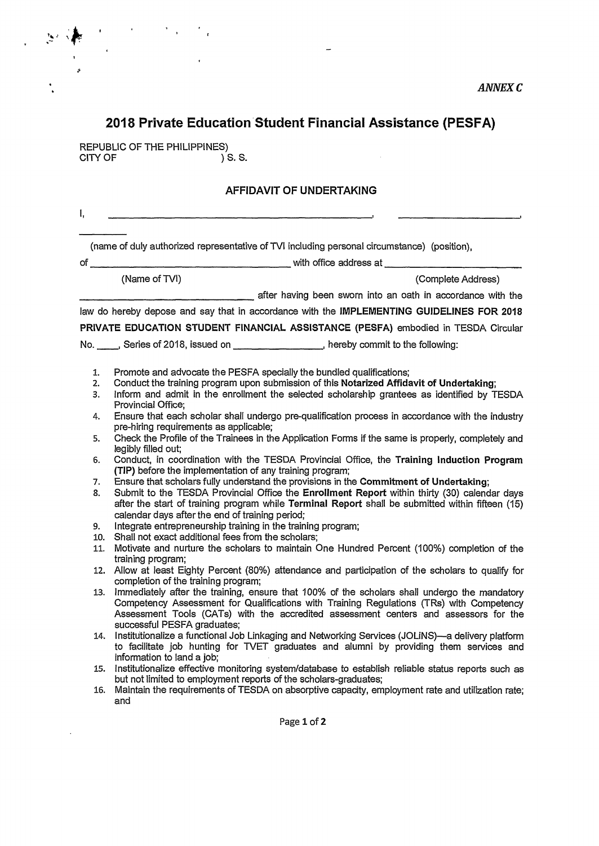### **2018 Private Education Student Financial Assistance (PESFA)**

REPUBLIC OF THE PHILIPPINES)<br>CITY OF (1) S. S. CITY OF

#### **AFFIDAVIT OF UNDERTAKING**

(name of duly authorized representative of WI including personal circumstance) (position),

of with office address at

 $\mathbf{I},$ 

(Name of TVI) (Complete Address)

after having been sworn into an oath in accordance with the

law do hereby depose and say that in accordance with the **IMPLEMENTING GUIDELINES FOR 2018 PRIVATE EDUCATION STUDENT FINANCIAL ASSISTANCE (PESFA)** embodied in TESDA Circular

No. Series of 2018, issued on **Communication**, hereby commit to the following:

- 1. Promote and advocate the PESFA specially the bundled qualifications;<br>2. Conduct the training program upon submission of this Notarized Affida
- 2. Conduct the training program upon submission of this **Notarized Affidavit of Undertaking;**
- 3. Inform and admit in the enrollment the selected scholarship grantees as identified by TESDA Provincial Office;
- 4. Ensure that each scholar shall undergo pre-qualification process in accordance with the industry pre-hiring requirements as applicable;
- 5. Check the Profile of the Trainees in the Application Forms if the same is properly, completely and legibly filled out;
- 6. Conduct, in coordination with the TESDA Provincial Office, the **Training Induction Program (TIP)** before the implementation of any training program;
- 7. Ensure that scholars fully understand the provisions in the **Commitment of Undertaking;**
- 8. Submit to the TESDA Provincial Office the **Enrollment Report** within thirty (30) calendar days after the start of training program while **Terminal Report** shall be submitted within fifteen (15) calendar days after the end of training period;
- 9. Integrate entrepreneurship training in the training program;
- 10. Shall not exact additional fees from the scholars;
- 11. Motivate and nurture the scholars to maintain One Hundred Percent (100%) completion of the training program;
- 12. Allow at least Eighty Percent (80%) attendance and participation of the scholars to qualify for completion of the training program;
- 13. Immediately after the training, ensure that 100% of the scholars shall undergo the mandatory Competency Assessment for Qualifications with Training Regulations (TRs) with Competency Assessment Tools (CATs) with the accredited assessment centers and assessors for the successful PESFA graduates;
- 14. Institutionalize a functional Job Linkaging and Networking Services (JOLiNS)—a delivery platform to facilitate job hunting for WET graduates and alumni by providing them services and information to land a job;
- 15. Institutionalize effective monitoring system/database to establish reliable status reports such as but not limited to employment reports of the scholars-graduates;
- 16. Maintain the requirements of TESDA on absorptive capacity, employment rate and utilization rate; and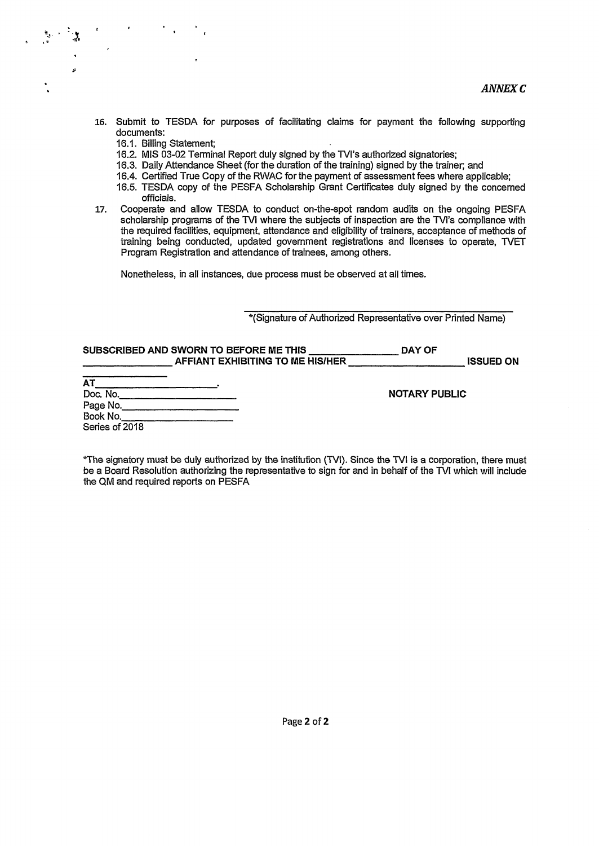- 16. Submit to TESDA for purposes of facilitating claims for payment the following supporting documents:
	- 16.1. Billing Statement;

 $\mathcal{P}$ 

 $\lambda$ 

- 16.2. MIS 03-02 Terminal Report duly signed by the TVI's authorized signatories;
- 16.3. Daily Attendance Sheet (for the duration of the training) signed by the trainer; and
- 16.4. Certified True Copy of the RWAC for the payment of assessment fees where applicable;
- 16.5. TESDA copy of the PESFA Scholarship Grant Certificates duly signed by the concerned officials.
- 17. Cooperate and allow TESDA to conduct on-the-spot random audits on the ongoing PESFA scholarship programs of the TVI where the subjects of inspection are the TVI's compliance with the required facilities, equipment, attendance and eligibility of trainers, acceptance of methods of training being conducted, updated government registrations and licenses to operate, WET Program Registration and attendance of trainees, among others.

Nonetheless, in all instances, due process must be observed at ail times.

\*(Signature of Authorized Representative over Printed Name)

|                                               | SUBSCRIBED AND SWORN TO BEFORE ME THIS<br>AFFIANT EXHIBITING TO ME HIS/HER | DAY OF<br><b>ISSUED ON</b> |
|-----------------------------------------------|----------------------------------------------------------------------------|----------------------------|
| <b>AT</b><br>Doc. No.<br>Page No.<br>Book No. |                                                                            | <b>NOTARY PUBLIC</b>       |
| Series of 2018                                |                                                                            |                            |

\*The signatory must be duly authorized by the institution (WI). Since the WI is a corporation, there must be a Board Resolution authorizing the representative to sign for and in behalf of the **WI** which will include the QM and required reports on PESFA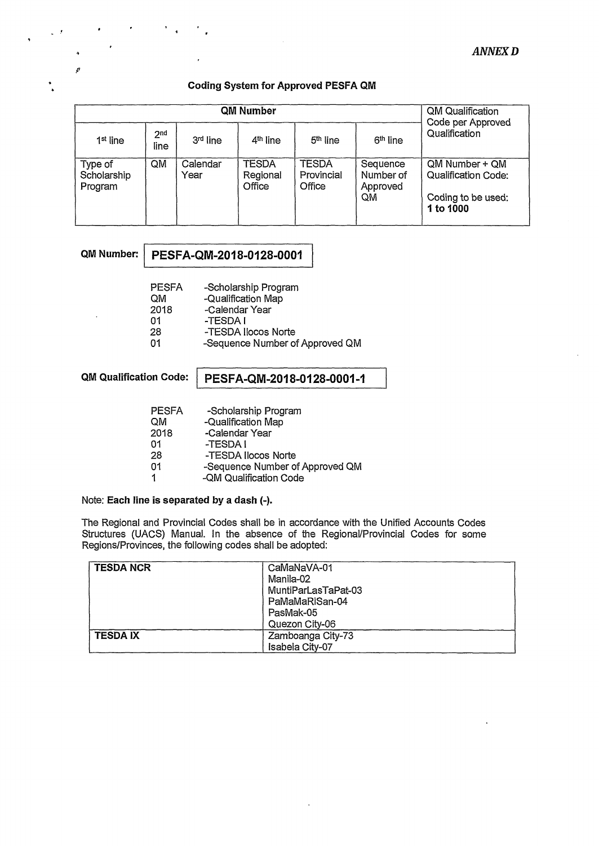#### **Coding System for Approved PESFA QM**

|                                   | QM Qualification<br>Code per Approved |                  |                             |                                      |                                         |                                                                                 |
|-----------------------------------|---------------------------------------|------------------|-----------------------------|--------------------------------------|-----------------------------------------|---------------------------------------------------------------------------------|
| 1 <sup>st</sup> line              | 2 <sup>nd</sup><br>line               | 3rd line         | 4 <sup>th</sup> line        | 5 <sup>th</sup> line                 | 6 <sup>th</sup> line                    | Qualification                                                                   |
| Type of<br>Scholarship<br>Program | QM                                    | Calendar<br>Year | TESDA<br>Regional<br>Office | <b>TESDA</b><br>Provincial<br>Office | Sequence<br>Number of<br>Approved<br>QM | QM Number + QM<br><b>Qualification Code:</b><br>Coding to be used:<br>1 to 1000 |

|  | QM Number: PESFA-QM-2018-0128-0001 |
|--|------------------------------------|
|--|------------------------------------|

| <b>PESFA</b> | -Scholarship Program            |
|--------------|---------------------------------|
| OМ           | -Qualification Map              |
| 2018         | -Calendar Year                  |
| 01           | -TESDA I                        |
| 28           | -TESDA Ilocos Norte             |
| 01           | -Sequence Number of Approved QM |

### **QM Qualification Code: PESFA-QM-2018-0128-0001-1**

| <b>PESFA</b> | -Scholarship Program            |
|--------------|---------------------------------|
| QM           | -Qualification Map              |
| 2018         | -Calendar Year                  |
| 01           | -TESDA I                        |
| 28           | -TESDA Ilocos Norte             |
| 01           | -Sequence Number of Approved QM |
| $\mathbf 1$  | -QM Qualification Code          |

Note: **Each line is separated by a dash (-).** 

The Regional and Provincial Codes shall be in accordance with the Unified Accounts Codes Structures (UACS) Manual. In the absence of the Regional/Provincial Codes for some Regions/Provinces, the following codes shall be adopted:

| <b>TESDA NCR</b> | CaMaNaVA-01         |
|------------------|---------------------|
|                  | Manila-02           |
|                  | MuntiParLasTaPat-03 |
|                  | PaMaMaRiSan-04      |
|                  | PasMak-05           |
|                  | Quezon City-06      |
| <b>TESDAIX</b>   | Zamboanga City-73   |
|                  | Isabela City-07     |